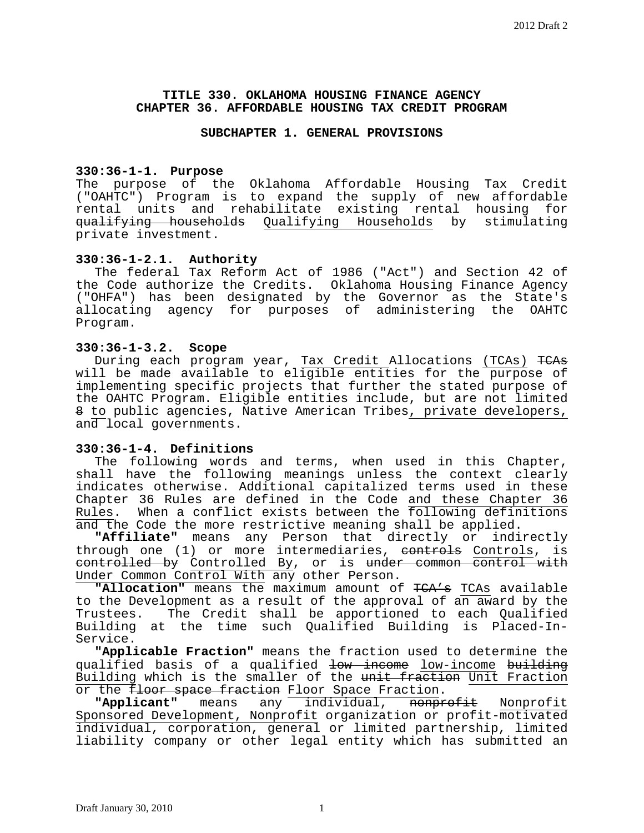## **TITLE 330. OKLAHOMA HOUSING FINANCE AGENCY CHAPTER 36. AFFORDABLE HOUSING TAX CREDIT PROGRAM**

#### **SUBCHAPTER 1. GENERAL PROVISIONS**

# **330:36-1-1. Purpose**

The purpose of the Oklahoma Affordable Housing Tax Credit ("OAHTC") Program is to expand the supply of new affordable rental units and rehabilitate existing rental housing for qualifying households Qualifying Households by stimulating private investment.

## **330:36-1-2.1. Authority**

The federal Tax Reform Act of 1986 ("Act") and Section 42 of the Code authorize the Credits. Oklahoma Housing Finance Agency ("OHFA") has been designated by the Governor as the State's allocating agency for purposes of administering the OAHTC Program.

#### **330:36-1-3.2. Scope**

During each program year, Tax Credit Allocations (TCAs) TCAs will be made available to eligible entities for the purpose of implementing specific projects that further the stated purpose of the OAHTC Program. Eligible entities include, but are not limited 8 to public agencies, Native American Tribes, private developers, and local governments.

# **330:36-1-4. Definitions**

The following words and terms, when used in this Chapter, shall have the following meanings unless the context clearly indicates otherwise. Additional capitalized terms used in these Chapter 36 Rules are defined in the Code and these Chapter 36 Rules. When a conflict exists between the following definitions and the Code the more restrictive meaning shall be applied.

**"Affiliate"** means any Person that directly or indirectly through one (1) or more intermediaries, <del>controls</del> Controls, is controlled by Controlled By, or is under common control with Under Common Control With any other Person.

**"Allocation"** means the maximum amount of TCA's TCAs available to the Development as a result of the approval of an award by the<br>Trustees. The Credit shall be apportioned to each Qualified The Credit shall be apportioned to each Qualified Building at the time such Qualified Building is Placed-In-Service.

**"Applicable Fraction"** means the fraction used to determine the qualified basis of a qualified low income low-income building Building which is the smaller of the unit fraction Unit Fraction<br>or the floor space fraction Floor Space Fraction.

"Applicant" means any individual, <del>nonprofit</del> Nonprofit Sponsored Development, Nonprofit organization or profit-motivated individual, corporation, general or limited partnership, limited liability company or other legal entity which has submitted an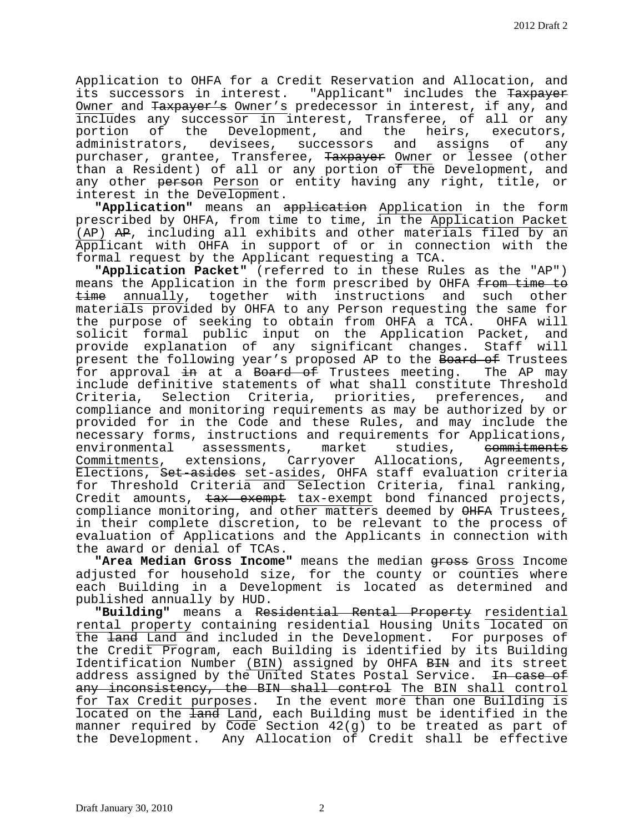Application to OHFA for a Credit Reservation and Allocation, and its successors in interest. "Applicant" includes the Taxpayer Owner and Taxpayer's Owner's predecessor in interest, if any, and includes any successor in interest, Transferee, of all or any portion of the Development, and the heirs, executors,<br>administrators, devisees, successors and assigns of any devisees, successors purchaser, grantee, Transferee, Taxpayer Owner or lessee (other than a Resident) of all or any portion of the Development, and any other person Person or entity having any right, title, or interest in the Development.

**"Application"** means an application Application in the form prescribed by OHFA, from time to time, in the Application Packet (AP) AP, including all exhibits and other materials filed by an Applicant with OHFA in support of or in connection with the formal request by the Applicant requesting a TCA.

**"Application Packet"** (referred to in these Rules as the "AP") means the Application in the form prescribed by OHFA from time to time annually, together with instructions and such other materials provided by OHFA to any Person requesting the same for the purpose of seeking to obtain from OHFA a TCA. OHFA will solicit formal public input on the Application Packet, and provide explanation of any significant changes. Staff will present the following year's proposed AP to the Board of Trustees<br>for approval <del>in</del> at a Board of Trustees meeting. The AP may for approval in at a Board of Trustees meeting. include definitive statements of what shall constitute Threshold<br>Criteria, Selection Criteria, priorities, preferences, and Criteria, Selection Criteria, priorities, preferences, compliance and monitoring requirements as may be authorized by or provided for in the Code and these Rules, and may include the necessary forms, instructions and requirements for Applications,<br>environmental assessments, market studies, <del>commitments</del> environmental assessments, market studies, <del>commitments</del><br>Commitments, extensions, Carryover Allocations, Agreements, Commitments, extensions, Carryover Allocations, Elections, Set-asides set-asides, OHFA staff evaluation criteria for Threshold Criteria and Selection Criteria, final ranking, Credit amounts, tax exempt tax-exempt bond financed projects, compliance monitoring, and other matters deemed by OHFA Trustees, in their complete discretion, to be relevant to the process of evaluation of Applications and the Applicants in connection with the award or denial of TCAs.

"Area Median Gross Income" means the median gross Gross Income adjusted for household size, for the county or counties where each Building in a Development is located as determined and published annually by HUD.

**"Building"** means a Residential Rental Property residential rental property containing residential Housing Units located on the land Land and included in the Development. For purposes of the Credit Program, each Building is identified by its Building Identification Number (BIN) assigned by OHFA BIN and its street address assigned by the United States Postal Service. In case of any inconsistency, the BIN shall control The BIN shall control for Tax Credit purposes. In the event more than one Building is located on the land Land, each Building must be identified in the manner required by  $\overline{Code}$  Section  $42(g)$  to be treated as part of the Development. Any Allocation of Credit shall be effective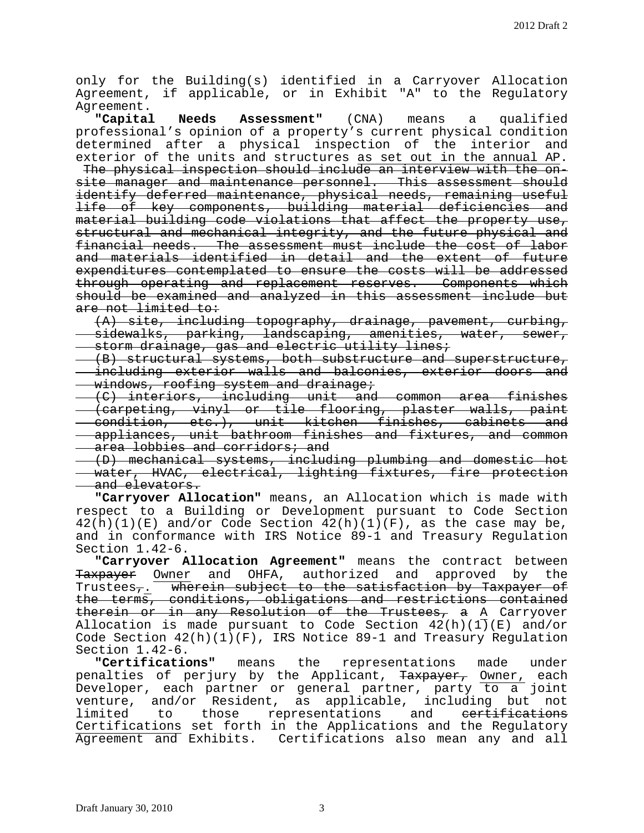only for the Building(s) identified in a Carryover Allocation Agreement, if applicable, or in Exhibit "A" to the Regulatory Agreement.<br>Capital

**Needs Assessment"** (CNA) means a qualified professional's opinion of a property's current physical condition determined after a physical inspection of the interior and exterior of the units and structures as set out in the annual AP.

The physical inspection should include an interview with the onsite manager and maintenance personnel. This assessment should identify deferred maintenance, physical needs, remaining useful life of key components, building material deficiencies and material building code violations that affect the property use, structural and mechanical integrity, and the future physical and financial needs. The assessment must include the cost of labor and materials identified in detail and the extent of future expenditures contemplated to ensure the costs will be addressed through operating and replacement reserves. Components which should be examined and analyzed in this assessment include but are not limited to:

(A) site, including topography, drainage, pavement, curbing, sidewalks, parking, landscaping, amenities, water, sewer, storm drainage, gas and electric utility lines;

(B) structural systems, both substructure and superstructure, including exterior walls and balconies, exterior doors and windows, roofing system and drainage;

(C) interiors, including unit and common area finishes (carpeting, vinyl or tile flooring, plaster walls, paint condition, etc.), unit kitchen finishes, cabinets and appliances, unit bathroom finishes and fixtures, and common area lobbies and corridors; and

(D) mechanical systems, including plumbing and domestic hot water, HVAC, electrical, lighting fixtures, fire protection and elevators.

**"Carryover Allocation"** means, an Allocation which is made with respect to a Building or Development pursuant to Code Section  $42(h)(1)(E)$  and/or Code Section  $42(h)(1)(F)$ , as the case may be, and in conformance with IRS Notice 89-1 and Treasury Regulation Section 1.42-6.

**"Carryover Allocation Agreement"** means the contract between Taxpayer Owner and OHFA, authorized and approved by the Trustees<sub>7</sub>. wherein subject to the satisfaction by Taxpayer of the terms, conditions, obligations and restrictions contained therein or in any Resolution of the Trustees, a A Carryover Allocation is made pursuant to Code Section  $42(h)(1)(E)$  and/or Code Section  $42(h)(1)(F)$ , IRS Notice 89-1 and Treasury Regulation Section 1.42-6.

**"Certifications"** means the representations made under penalties of perjury by the Applicant, <del>Taxpayer,</del> <u>Owner,</u> each Developer, each partner or general partner, party to a joint venture, and/or Resident, as applicable, including but not<br>limited to those representations and <del>certifications</del> limited to those representations and <del>certifications</del> Certifications set forth in the Applications and the Regulatory Agreement and Exhibits. Certifications also mean any and all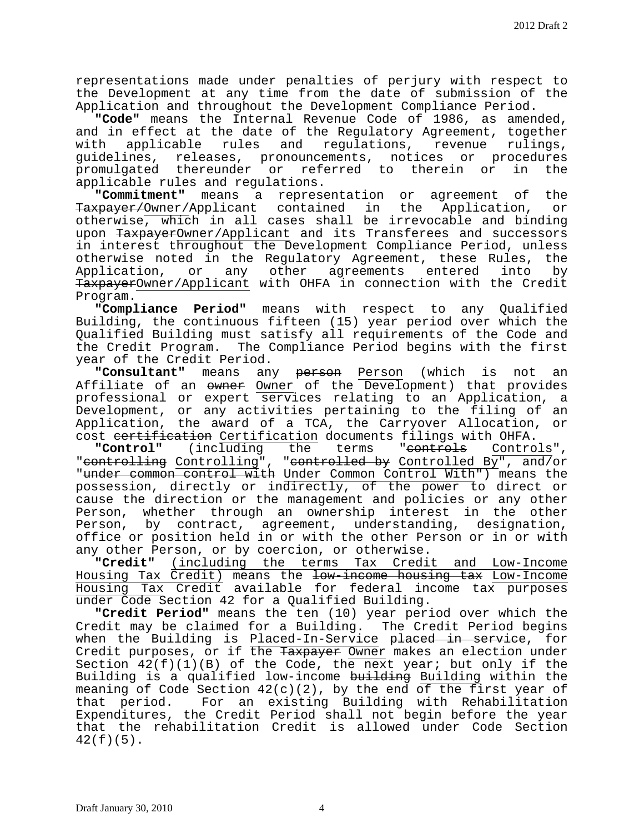representations made under penalties of perjury with respect to the Development at any time from the date of submission of the Application and throughout the Development Compliance Period.

**"Code"** means the Internal Revenue Code of 1986, as amended, and in effect at the date of the Regulatory Agreement, together<br>with applicable rules and regulations, revenue rulings, applicable rules and regulations, revenue rulings, guidelines, releases, pronouncements, notices or procedures promulgated thereunder or referred to therein or applicable rules and regulations.

**"Commitment"** means a representation or agreement of the Taxpayer/Owner/Applicant contained in the Application, or otherwise, which in all cases shall be irrevocable and binding upon TaxpayerOwner/Applicant and its Transferees and successors in interest throughout the Development Compliance Period, unless otherwise noted in the Regulatory Agreement, these Rules, the<br>Application, or any other agreements entered into by other agreements entered TaxpayerOwner/Applicant with OHFA in connection with the Credit Program.

**"Compliance Period"** means with respect to any Qualified Building, the continuous fifteen (15) year period over which the Qualified Building must satisfy all requirements of the Code and the Credit Program. The Compliance Period begins with the first year of the Credit Period.<br>"Consultant" means an

**"Consultant"** means any person Person (which is not an Affiliate of an owner Owner of the Development) that provides professional or expert services relating to an Application, a Development, or any activities pertaining to the filing of an Application, the award of a TCA, the Carryover Allocation, or cost <del>certification</del> Certification documents filings with OHFA.<br>**"Control"** (including the terms "<del>controls</del> Controls",

"controlling Controlling", "controlled by Controlled By", and/or "under common control with Under Common Control With") means the possession, directly or indirectly, of the power to direct or cause the direction or the management and policies or any other Person, whether through an ownership interest in the other Person, by contract, agreement, understanding, designation, office or position held in or with the other Person or in or with any other Person, or by coercion, or otherwise.<br>"Credit" (including the terms Tax Credi

**"Credit"** (including the terms Tax Credit and Low-Income Housing Tax Credit) means the low-income housing tax Low-Income Housing Tax Credit available for federal income tax purposes under Code Section 42 for a Qualified Building.

**"Credit Period"** means the ten (10) year period over which the Credit may be claimed for a Building. The Credit Period begins when the Building is Placed-In-Service placed in service, for Credit purposes, or if the Taxpayer Owner makes an election under Section  $42(f)(1)(B)$  of the Code, the next year; but only if the Building is a qualified low-income building Building within the meaning of Code Section  $42(c)(2)$ , by the end of the first year of<br>that period. For an existing Building with Rehabilitation For an existing Building with Rehabilitation Expenditures, the Credit Period shall not begin before the year that the rehabilitation Credit is allowed under Code Section 42(f)(5).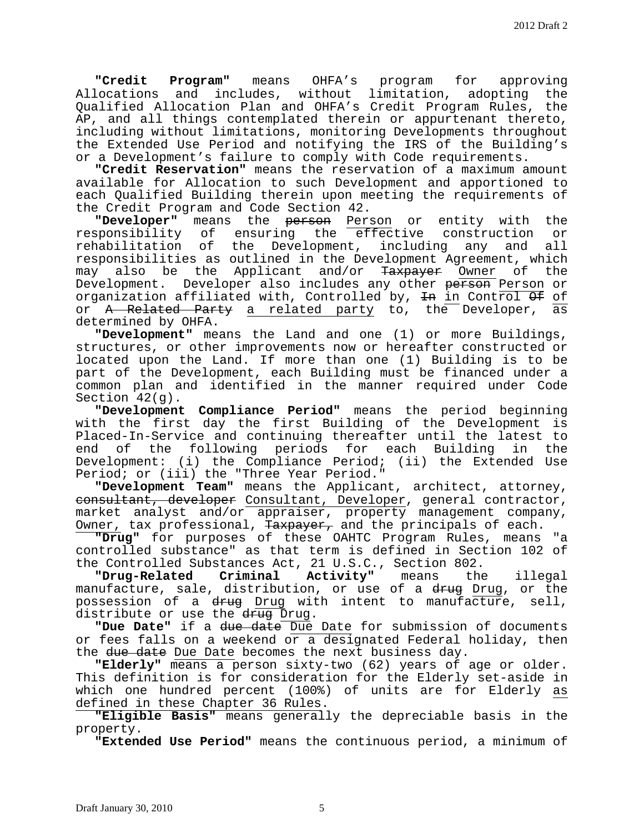**"Credit Program"** means OHFA's program for approving Allocations and includes, without limitation, adopting the Qualified Allocation Plan and OHFA's Credit Program Rules, the AP, and all things contemplated therein or appurtenant thereto, including without limitations, monitoring Developments throughout the Extended Use Period and notifying the IRS of the Building's or a Development's failure to comply with Code requirements.

**"Credit Reservation"** means the reservation of a maximum amount available for Allocation to such Development and apportioned to each Qualified Building therein upon meeting the requirements of the Credit Program and Code Section 42.

**"Developer"** means the **person** Person or entity with the responsibility of ensuring the effective construction or responsibility of ensuring the effective construction or<br>rehabilitation of the Development, including any and all the Development, including responsibilities as outlined in the Development Agreement, which may also be the Applicant and/or Taxpayer Owner of the Development. Developer also includes any other person Person or organization affiliated with, Controlled by,  $\overline{\text{4n}}$  in Control  $\overline{\text{4f}}$  of or A Related Party a related party to, the Developer, as determined by OHFA.

**"Development"** means the Land and one (1) or more Buildings, structures, or other improvements now or hereafter constructed or located upon the Land. If more than one (1) Building is to be part of the Development, each Building must be financed under a common plan and identified in the manner required under Code Section 42(g).

**"Development Compliance Period"** means the period beginning with the first day the first Building of the Development is Placed-In-Service and continuing thereafter until the latest to end of the following periods for each Building in the Development: (i) the Compliance Period; (ii) the Extended Use Period; or (iii) the "Three Year Period."

**"Development Team"** means the Applicant, architect, attorney, consultant, developer Consultant, Developer, general contractor, market analyst and/or appraiser, property management company, Owner, tax professional, Taxpayer, and the principals of each.

**"Drug"** for purposes of these OAHTC Program Rules, means "a controlled substance" as that term is defined in Section 102 of

the Controlled Substances Act, 21 U.S.C., Section 802.<br>**"Drug-Related Criminal Activity"** means the Activity" means the illegal manufacture, sale, distribution, or use of a drug Drug, or the possession of a <del>drug</del> Drug with intent to manufacture, sell, distribute or use the drug Drug.

**"Due Date"** if a due date Due Date for submission of documents or fees falls on a weekend or a designated Federal holiday, then the due date Due Date becomes the next business day.

**"Elderly"** means a person sixty-two (62) years of age or older. This definition is for consideration for the Elderly set-aside in which one hundred percent (100%) of units are for Elderly as<br>defined in these Chapter 36 Rules.

**"Eligible Basis"** means generally the depreciable basis in the property.

**"Extended Use Period"** means the continuous period, a minimum of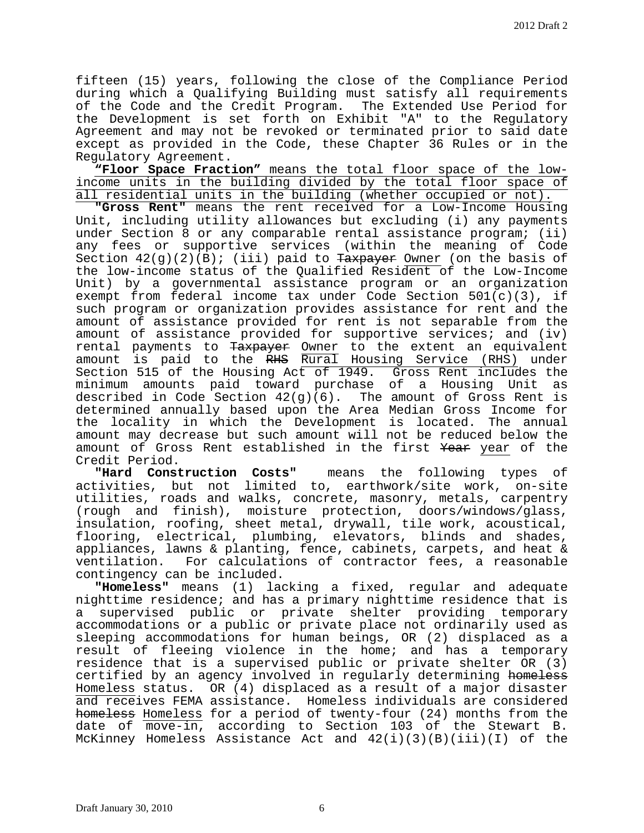fifteen (15) years, following the close of the Compliance Period during which a Qualifying Building must satisfy all requirements of the Code and the Credit Program. The Extended Use Period for the Development is set forth on Exhibit "A" to the Regulatory Agreement and may not be revoked or terminated prior to said date except as provided in the Code, these Chapter 36 Rules or in the Regulatory Agreement.

**"Floor Space Fraction"** means the total floor space of the lowincome units in the building divided by the total floor space of all residential units in the building (whether occupied or not).

**"Gross Rent"** means the rent received for a Low-Income Housing Unit, including utility allowances but excluding (i) any payments under Section 8 or any comparable rental assistance program; (ii) any fees or supportive services (within the meaning of Code Section  $42(g)(2)(B)$ ; (iii) paid to Taxpayer Owner (on the basis of the low-income status of the Qualified Resident of the Low-Income Unit) by a governmental assistance program or an organization exempt from federal income tax under Code Section  $501(c)(3)$ , if such program or organization provides assistance for rent and the amount of assistance provided for rent is not separable from the amount of assistance provided for supportive services; and (iv) rental payments to <del>Taxpayer</del> <u>Owner</u> to the extent an equivalent amount is paid to the RHS Rural Housing Service (RHS) under Section 515 of the Housing Act of 1949. Gross Rent includes the minimum amounts paid toward purchase of a Housing Unit as described in Code Section 42(g)(6). The amount of Gross Rent is determined annually based upon the Area Median Gross Income for the locality in which the Development is located. The annual amount may decrease but such amount will not be reduced below the amount of Gross Rent established in the first Year year of the Credit Period.<br>"Hard Construction Costs"

means the following types of activities, but not limited to, earthwork/site work, on-site utilities, roads and walks, concrete, masonry, metals, carpentry (rough and finish), moisture protection, doors/windows/glass, insulation, roofing, sheet metal, drywall, tile work, acoustical, flooring, electrical, plumbing, elevators, blinds and shades, appliances, lawns & planting, fence, cabinets, carpets, and heat & ventilation. For calculations of contractor fees, a reasonable

**"Homeless"** means (1) lacking a fixed, regular and adequate nighttime residence; and has a primary nighttime residence that is a supervised public or private shelter providing temporary accommodations or a public or private place not ordinarily used as sleeping accommodations for human beings, OR (2) displaced as a result of fleeing violence in the home; and has a temporary residence that is a supervised public or private shelter OR (3) certified by an agency involved in regularly determining homeless Homeless status. OR (4) displaced as a result of a major disaster and receives FEMA assistance. Homeless individuals are considered homeless Homeless for a period of twenty-four (24) months from the date of move-in, according to Section 103 of the Stewart B. McKinney Homeless Assistance Act and 42(i)(3)(B)(iii)(I) of the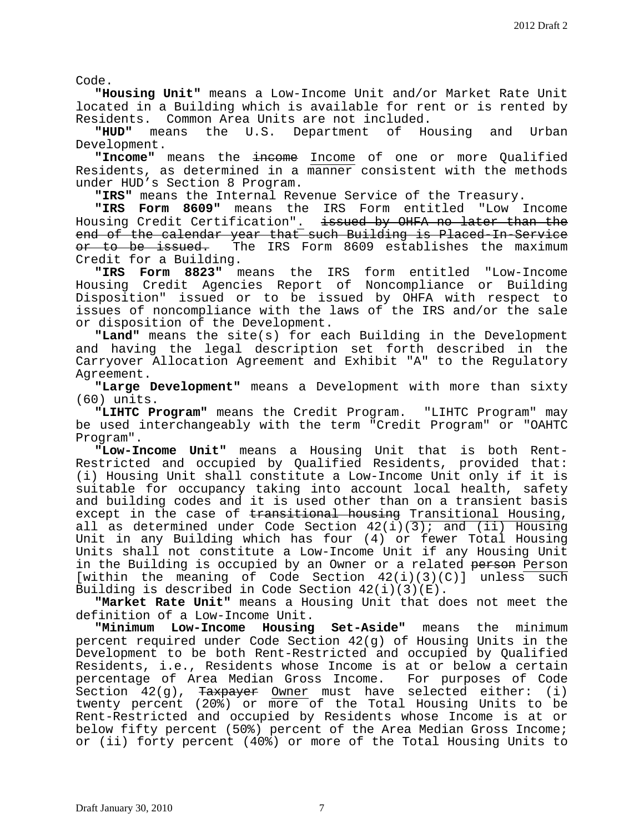Code.

**"Housing Unit"** means a Low-Income Unit and/or Market Rate Unit located in a Building which is available for rent or is rented by Residents. Common Area Units are not included.<br>"HUD" means the U.S. Department of Housing

the U.S. Department of Housing and Urban Development.

**"Income"** means the income Income of one or more Qualified Residents, as determined in a manner consistent with the methods under HUD's Section 8 Program.

**"IRS"** means the Internal Revenue Service of the Treasury.

**"IRS Form 8609"** means the IRS Form entitled "Low Income Housing Credit Certification". issued by OHFA no later than the end of the calendar year that such Building is Placed-In-Service<br>or to be issued. The IRS Form 8609 establishes the maximum The IRS Form 8609 establishes the maximum Credit for a Building.

**"IRS Form 8823"** means the IRS form entitled "Low-Income Housing Credit Agencies Report of Noncompliance or Building Disposition" issued or to be issued by OHFA with respect to issues of noncompliance with the laws of the IRS and/or the sale<br>or disposition of the Development.

**"Land"** means the site(s) for each Building in the Development and having the legal description set forth described in the Carryover Allocation Agreement and Exhibit "A" to the Regulatory Agreement.

**"Large Development"** means a Development with more than sixty (60) units.

**"LIHTC Program"** means the Credit Program. "LIHTC Program" may be used interchangeably with the term "Credit Program" or "OAHTC Program".

**"Low-Income Unit"** means a Housing Unit that is both Rent-Restricted and occupied by Qualified Residents, provided that: (i) Housing Unit shall constitute a Low-Income Unit only if it is suitable for occupancy taking into account local health, safety and building codes and it is used other than on a transient basis except in the case of transitional housing Transitional Housing, all as determined under Code Section  $42(i)(\overline{3})$ ; and (ii) Housing Unit in any Building which has four (4) or fewer Total Housing Units shall not constitute a Low-Income Unit if any Housing Unit in the Building is occupied by an Owner or a related person Person [within the meaning of Code Section  $42(i)(3)(C)$ ] unless such<br>Building is described in Code Section  $42(i)(3)(E)$ .

**"Market Rate Unit"** means a Housing Unit that does not meet the definition of a Low-Income Unit.

**"Minimum Low-Income Housing Set-Aside"** means the minimum percent required under Code Section 42(g) of Housing Units in the Development to be both Rent-Restricted and occupied by Qualified Residents, i.e., Residents whose Income is at or below a certain<br>percentage of Area Median Gross Income. For purposes of Code percentage of Area Median Gross Income. Section  $42(q)$ , Taxpayer Owner must have selected either: (i) twenty percent (20%) or more of the Total Housing Units to be Rent-Restricted and occupied by Residents whose Income is at or below fifty percent (50%) percent of the Area Median Gross Income; or (ii) forty percent (40%) or more of the Total Housing Units to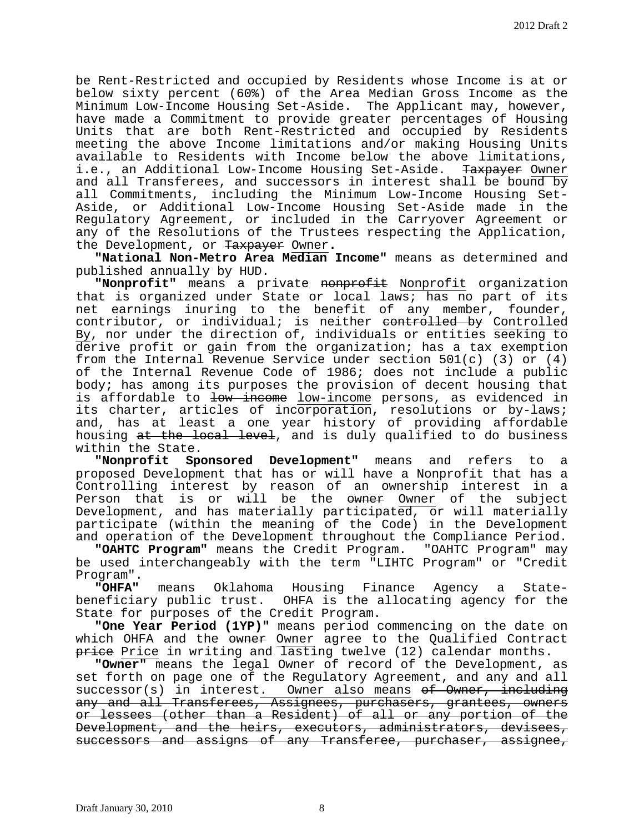be Rent-Restricted and occupied by Residents whose Income is at or below sixty percent (60%) of the Area Median Gross Income as the Minimum Low-Income Housing Set-Aside. The Applicant may, however, have made a Commitment to provide greater percentages of Housing Units that are both Rent-Restricted and occupied by Residents meeting the above Income limitations and/or making Housing Units available to Residents with Income below the above limitations, i.e., an Additional Low-Income Housing Set-Aside. Taxpayer Owner and all Transferees, and successors in interest shall be bound by all Commitments, including the Minimum Low-Income Housing Set-Aside, or Additional Low-Income Housing Set-Aside made in the Regulatory Agreement, or included in the Carryover Agreement or any of the Resolutions of the Trustees respecting the Application, the Development, or Taxpayer Owner**.**

**"National Non-Metro Area Median Income"** means as determined and published annually by HUD.

**"Nonprofit"** means a private nonprofit Nonprofit organization that is organized under State or local laws; has no part of its net earnings inuring to the benefit of any member, founder, contributor, or individual; is neither controlled by Controlled By, nor under the direction of, individuals or entities seeking to derive profit or gain from the organization; has a tax exemption from the Internal Revenue Service under section 501(c) (3) or (4) of the Internal Revenue Code of 1986; does not include a public body; has among its purposes the provision of decent housing that is affordable to low income low-income persons, as evidenced in its charter, articles of incorporation, resolutions or by-laws; and, has at least a one year history of providing affordable housing at the local level, and is duly qualified to do business within the State.

**"Nonprofit Sponsored Development"** means and refers to a proposed Development that has or will have a Nonprofit that has a Controlling interest by reason of an ownership interest in a Person that is or will be the owner Owner of the subject Development, and has materially participated, or will materially participate (within the meaning of the Code) in the Development and operation of the Development throughout the Compliance Period.

**"OAHTC Program"** means the Credit Program. "OAHTC Program" may be used interchangeably with the term "LIHTC Program" or "Credit Program".<br>"OHFA"

**"OHFA"** means Oklahoma Housing Finance Agency a State-OHFA is the allocating agency for the State for purposes of the Credit Program.

**"One Year Period (1YP)"** means period commencing on the date on which OHFA and the owner Owner agree to the Qualified Contract **price** Price in writing and lasting twelve (12) calendar months.

**"Owner"** means the legal Owner of record of the Development, as set forth on page one of the Regulatory Agreement, and any and all successor(s) in interest. Owner also means <del>of Owner, including</del> any and all Transferees, Assignees, purchasers, grantees, owners or lessees (other than a Resident) of all or any portion of the Development, and the heirs, executors, administrators, devisees, successors and assigns of any Transferee, purchaser, assignee,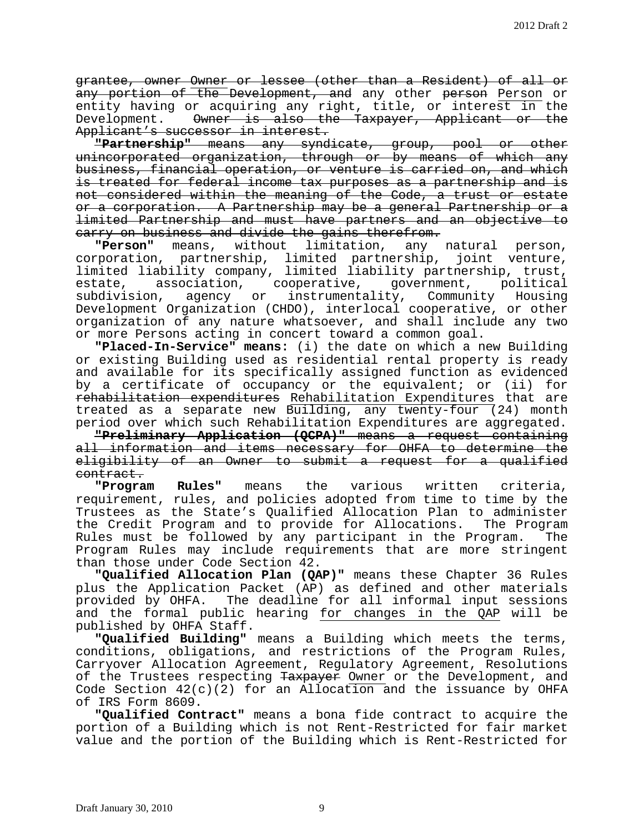grantee, owner Owner or lessee (other than a Resident) of all or any portion of the Development, and any other person Person or entity having or acquiring any right, title, or interest in the Development. <del>Owner is also the Taxpayer, Applicant or the</del> Applicant's successor in interest.

**"Partnership"** means any syndicate, group, pool or other unincorporated organization, through or by means of which any business, financial operation, or venture is carried on, and which is treated for federal income tax purposes as a partnership and is not considered within the meaning of the Code, a trust or estate or a corporation. A Partnership may be a general Partnership or a limited Partnership and must have partners and an objective to carry on business and divide the gains therefrom.

**"Person"** means, without limitation, any natural person, corporation, partnership, limited partnership, joint venture, limited liability company, limited liability partnership, trust, estate, association, cooperative, government, political<br>subdivision, agency or instrumentality, Community Housing agency or instrumentality, Community Housing Development Organization (CHDO), interlocal cooperative, or other organization of any nature whatsoever, and shall include any two or more Persons acting in concert toward a common goal.

**"Placed-In-Service" means:** (i) the date on which a new Building or existing Building used as residential rental property is ready and available for its specifically assigned function as evidenced by a certificate of occupancy or the equivalent; or (ii) for rehabilitation expenditures Rehabilitation Expenditures that are treated as a separate new Building, any twenty-four (24) month period over which such Rehabilitation Expenditures are aggregated.

**"Preliminary Application (QCPA)"** means a request containing all information and items necessary for OHFA to determine the eligibility of an Owner to submit a request for a qualified

e<del>ontract.</del><br>Program" **"Program Rules"** means the various written criteria, requirement, rules, and policies adopted from time to time by the Trustees as the State's Qualified Allocation Plan to administer the Credit Program and to provide for Allocations. The Program Rules must be followed by any participant in the Program. The Program Rules may include requirements that are more stringent than those under Code Section 42.

**"Qualified Allocation Plan (QAP)"** means these Chapter 36 Rules plus the Application Packet (AP) as defined and other materials provided by OHFA. The deadline for all informal input sessions and the formal public hearing for changes in the QAP will be published by OHFA Staff.

**"Qualified Building"** means a Building which meets the terms, conditions, obligations, and restrictions of the Program Rules, Carryover Allocation Agreement, Regulatory Agreement, Resolutions of the Trustees respecting Taxpayer Owner or the Development, and Code Section  $42(c)(2)$  for an Allocation and the issuance by OHFA of IRS Form 8609.

**"Qualified Contract"** means a bona fide contract to acquire the portion of a Building which is not Rent-Restricted for fair market value and the portion of the Building which is Rent-Restricted for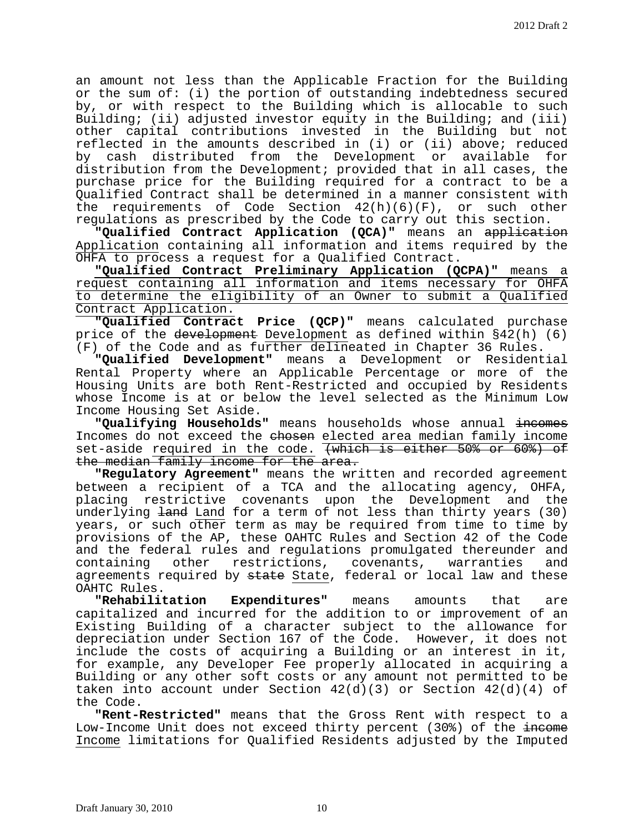an amount not less than the Applicable Fraction for the Building or the sum of: (i) the portion of outstanding indebtedness secured by, or with respect to the Building which is allocable to such Building; (ii) adjusted investor equity in the Building; and (iii) other capital contributions invested in the Building but not reflected in the amounts described in (i) or (ii) above; reduced by cash distributed from the Development or available for distribution from the Development; provided that in all cases, the purchase price for the Building required for a contract to be a Qualified Contract shall be determined in a manner consistent with the requirements of Code Section 42(h)(6)(F), or such other regulations as prescribed by the Code to carry out this section.

**"Qualified Contract Application (QCA)"** means an application Application containing all information and items required by the OHFA to process a request for a Qualified Contract.

**"Qualified Contract Preliminary Application (QCPA)"** means a request containing all information and items necessary for OHFA to determine the eligibility of an Owner to submit a Qualified Contract Application.

**"Qualified Contract Price (QCP)"** means calculated purchase price of the development Development as defined within §42(h) (6) (F) of the Code and as further delineated in Chapter 36 Rules.

**"Qualified Development"** means a Development or Residential Rental Property where an Applicable Percentage or more of the Housing Units are both Rent-Restricted and occupied by Residents whose Income is at or below the level selected as the Minimum Low Income Housing Set Aside.

**"Qualifying Households"** means households whose annual incomes Incomes do not exceed the chosen elected area median family income set-aside required in the code. (which is either 50% or 60%) of the median family income for the area.

**"Regulatory Agreement"** means the written and recorded agreement between a recipient of a TCA and the allocating agency, OHFA, placing restrictive covenants upon the Development and the underlying <del>land</del> Land for a term of not less than thirty years (30) years, or such other term as may be required from time to time by provisions of the AP, these OAHTC Rules and Section 42 of the Code and the federal rules and regulations promulgated thereunder and<br>containing other restrictions, covenants, warranties and restrictions, covenants, warranties and agreements required by state State, federal or local law and these OAHTC Rules.

**"Rehabilitation Expenditures"** means amounts that are capitalized and incurred for the addition to or improvement of an Existing Building of a character subject to the allowance for depreciation under Section 167 of the Code. However, it does not include the costs of acquiring a Building or an interest in it, for example, any Developer Fee properly allocated in acquiring a Building or any other soft costs or any amount not permitted to be taken into account under Section  $42(d)(3)$  or Section  $42(d)(4)$  of the Code.

**"Rent-Restricted"** means that the Gross Rent with respect to a Low-Income Unit does not exceed thirty percent (30%) of the income Income limitations for Qualified Residents adjusted by the Imputed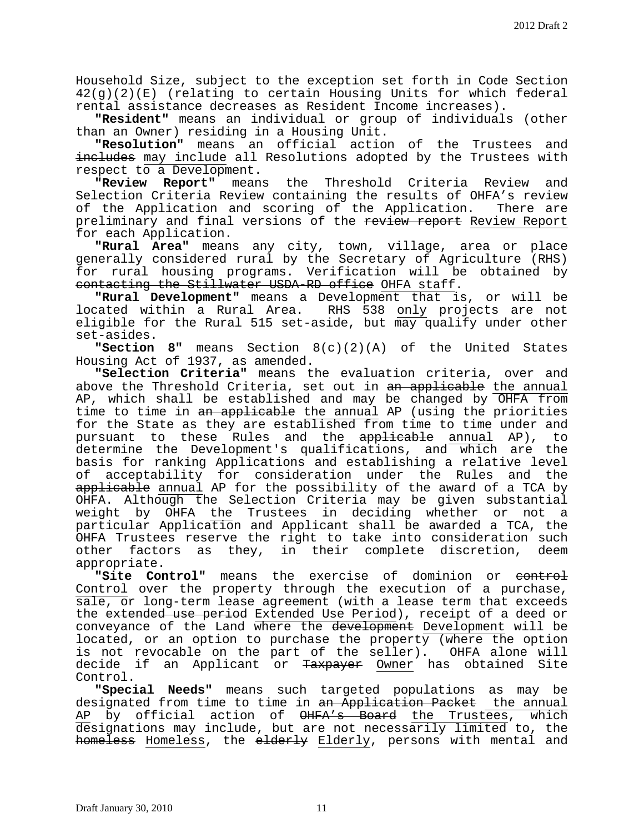Household Size, subject to the exception set forth in Code Section 42(g)(2)(E) (relating to certain Housing Units for which federal rental assistance decreases as Resident Income increases).

**"Resident"** means an individual or group of individuals (other than an Owner) residing in a Housing Unit.

**"Resolution"** means an official action of the Trustees and includes may include all Resolutions adopted by the Trustees with

respect to a Development.<br>"Review Report" mean **"Review Report"** means the Threshold Criteria Review and Selection Criteria Review containing the results of OHFA's review of the Application and scoring of the Application. There are preliminary and final versions of the review report Review Report for each Application.

**"Rural Area"** means any city, town, village, area or place generally considered rural by the Secretary of Agriculture (RHS) for rural housing programs. Verification will be obtained by

contacting the Stillwater USDA-RD office OHFA staff. **"Rural Development"** means a Development that is, or will be located within a Rural Area. RHS 538 <u>only</u> projects are not eligible for the Rural 515 set-aside, but may qualify under other set-asides.

**"Section 8"** means Section 8(c)(2)(A) of the United States Housing Act of 1937, as amended.

**"Selection Criteria"** means the evaluation criteria, over and above the Threshold Criteria, set out in an applicable the annual AP, which shall be established and may be changed by OHFA from time to time in an applicable the annual AP (using the priorities for the State as they are established from time to time under and<br>pursuant to these Rules and the applicable annual AP), to pursuant to these Rules and the applicable annual AP), determine the Development's qualifications, and which are the basis for ranking Applications and establishing a relative level of acceptability for consideration under the Rules and the applicable annual AP for the possibility of the award of a TCA by OHFA. Although the Selection Criteria may be given substantial weight by  $\overline{\text{OHFA}}$  the Trustees in deciding whether or not a particular Application and Applicant shall be awarded a TCA, the OHFA Trustees reserve the right to take into consideration such other factors as they, in their complete discretion, deem appropriate.

**"Site Control"** means the exercise of dominion or control Control over the property through the execution of a purchase, sale, or long-term lease agreement (with a lease term that exceeds the extended use period Extended Use Period), receipt of a deed or conveyance of the Land where the development Development will be located, or an option to purchase the property (where the option is not revocable on the part of the seller). OHFA alone will decide if an Applicant or Taxpayer Owner has obtained Site Control.

**"Special Needs"** means such targeted populations as may be designated from time to time in an Application Packet the annual AP by official action of  $\overline{\Theta}$ HFA's Board the Trustees, which designations may include, but are not necessarily limited to, the homeless Homeless, the elderly Elderly, persons with mental and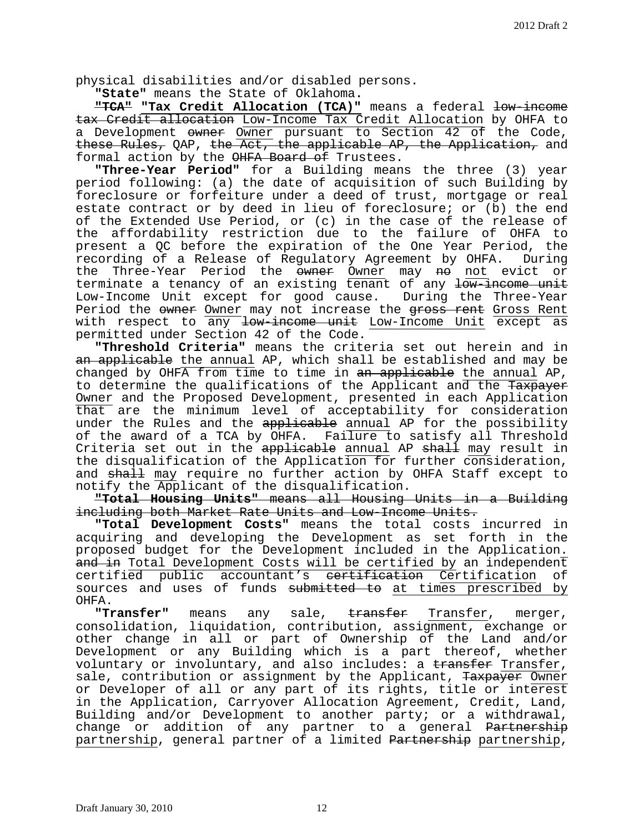physical disabilities and/or disabled persons.

**"State"** means the State of Oklahoma**.**

**"TCA" "Tax Credit Allocation (TCA)"** means a federal low-income tax Credit allocation Low-Income Tax Credit Allocation by OHFA to a Development owner Owner pursuant to Section 42 of the Code, these Rules, QAP, the Act, the applicable AP, the Application, and formal action by the OHFA Board of Trustees.

**"Three-Year Period"** for a Building means the three (3) year period following: (a) the date of acquisition of such Building by foreclosure or forfeiture under a deed of trust, mortgage or real estate contract or by deed in lieu of foreclosure; or (b) the end of the Extended Use Period, or (c) in the case of the release of the affordability restriction due to the failure of OHFA to present a QC before the expiration of the One Year Period, the recording of a Release of Regulatory Agreement by OHFA. the Three-Year Period the owner Owner may no not evict or terminate a tenancy of an existing tenant of any low-income unit<br>Low-Income Unit except for good cause. During the Three-Year Low-Income Unit except for good cause. Period the owner Owner may not increase the gross rent Gross Rent with respect to any low-income unit Low-Income Unit except as permitted under Section 42 of the Code.

**"Threshold Criteria"** means the criteria set out herein and in an applicable the annual AP, which shall be established and may be changed by OHFA from time to time in  $an$  applicable the annual AP, to determine the qualifications of the Applicant and the Taxpayer Owner and the Proposed Development, presented in each Application that are the minimum level of acceptability for consideration under the Rules and the applicable annual AP for the possibility of the award of a TCA by OHFA. Failure to satisfy all Threshold Criteria set out in the applicable annual AP shall may result in the disqualification of the Application for further consideration, and shall may require no further action by OHFA Staff except to notify the Applicant of the disqualification.

**"Total Housing Units"** means all Housing Units in a Building including both Market Rate Units and Low-Income Units.

**"Total Development Costs"** means the total costs incurred in acquiring and developing the Development as set forth in the proposed budget for the Development included in the Application. a<del>nd in</del> Total Development Costs will be certified by an independent<br>certified public accountant's <del>certification</del> Certification of certified public accountant's <del>certification</del> Certification sources and uses of funds submitted to at times prescribed by

OHFA. **"Transfer"** means any sale, transfer Transfer, merger, consolidation, liquidation, contribution, assignment, exchange or other change in all or part of Ownership of the Land and/or Development or any Building which is a part thereof, whether voluntary or involuntary, and also includes: a transfer Transfer, sale, contribution or assignment by the Applicant, Taxpayer Owner or Developer of all or any part of its rights, title or interest in the Application, Carryover Allocation Agreement, Credit, Land, Building and/or Development to another party; or a withdrawal, change or addition of any partner to a general Partnership partnership, general partner of a limited Partnership partnership,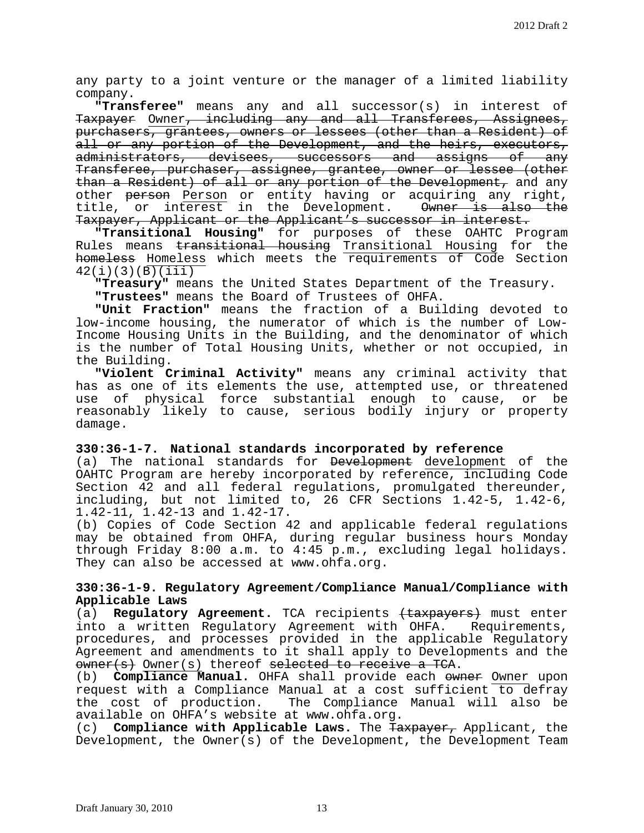any party to a joint venture or the manager of a limited liability company.

**"Transferee"** means any and all successor(s) in interest of Taxpayer Owner, including any and all Transferees, Assignees, purchasers, grantees, owners or lessees (other than a Resident) of all or any portion of the Development, and the heirs, executors, administrators, devisees, successors and assigns of any Transferee, purchaser, assignee, grantee, owner or lessee (other than a Resident) of all or any portion of the Development, and any other person Person or entity having or acquiring any right, title, or interest in the Development. Owner is also the Taxpayer, Applicant or the Applicant's successor in interest.

**"Transitional Housing"** for purposes of these OAHTC Program Rules means transitional housing Transitional Housing for the homeless Homeless which meets the requirements of Code Section 42(i)(3)(B)(iii)

**"Treasury"** means the United States Department of the Treasury.

**"Trustees"** means the Board of Trustees of OHFA.

**"Unit Fraction"** means the fraction of a Building devoted to low-income housing, the numerator of which is the number of Low-Income Housing Units in the Building, and the denominator of which is the number of Total Housing Units, whether or not occupied, in the Building.

**"Violent Criminal Activity"** means any criminal activity that has as one of its elements the use, attempted use, or threatened<br>use of physical force substantial enough to cause, or be use of physical force substantial enough to cause, or reasonably likely to cause, serious bodily injury or property damage.

## **330:36-1-7. National standards incorporated by reference**

(a) The national standards for Development development of the OAHTC Program are hereby incorporated by reference, including Code Section 42 and all federal regulations, promulgated thereunder, including, but not limited to, 26 CFR Sections 1.42-5, 1.42-6, 1.42-11, 1.42-13 and 1.42-17.

(b) Copies of Code Section 42 and applicable federal regulations may be obtained from OHFA, during regular business hours Monday through Friday 8:00 a.m. to 4:45 p.m., excluding legal holidays. They can also be accessed at www.ohfa.org.

# **330:36-1-9. Regulatory Agreement/Compliance Manual/Compliance with Applicable Laws**

(a) **Regulatory Agreement.** TCA recipients (taxpayers) must enter into a written Regulatory Agreement with OHFA. Requirements, procedures, and processes provided in the applicable Regulatory Agreement and amendments to it shall apply to Developments and the owner(s) Owner(s) thereof selected to receive a TCA.

(b) **Compliance Manual.** OHFA shall provide each owner Owner upon request with a Compliance Manual at a cost sufficient to defray The Compliance Manual will also be available on OHFA's website at www.ohfa.org.<br>(c) **Compliance with Applicable Laws.** The  $Ta$ 

(c) **Compliance with Applicable Laws.** The Taxpayer, Applicant, the Development, the Owner(s) of the Development, the Development Team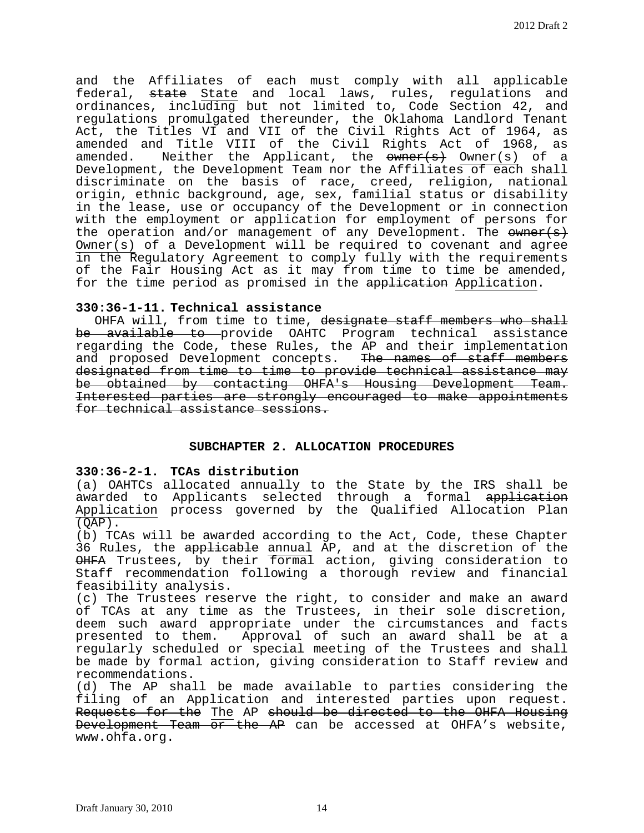and the Affiliates of each must comply with all applicable federal, <del>state</del> State and local laws, rules, regulations and ordinances, including but not limited to, Code Section 42, and regulations promulgated thereunder, the Oklahoma Landlord Tenant Act, the Titles VI and VII of the Civil Rights Act of 1964, as amended and Title VIII of the Civil Rights Act of 1968, as amended. Neither the Applicant, the  $\frac{1}{2}$  Owner(s) of a Development, the Development Team nor the Affiliates of each shall discriminate on the basis of race, creed, religion, national origin, ethnic background, age, sex, familial status or disability in the lease, use or occupancy of the Development or in connection with the employment or application for employment of persons for the operation and/or management of any Development. The  $\frac{1}{\sqrt{5}}$ Owner(s) of a Development will be required to covenant and agree in the Regulatory Agreement to comply fully with the requirements of the Fair Housing Act as it may from time to time be amended, for the time period as promised in the application Application.

#### **330:36-1-11. Technical assistance**

OHFA will, from time to time, designate staff members who shall be available to provide OAHTC Program technical assistance regarding the Code, these Rules, the AP and their implementation and proposed Development concepts. The names of staff members designated from time to time to provide technical assistance may<br>be obtained by contacting OHFA's Housing Development Team. Interested parties are strongly encouraged to make appointments for technical assistance sessions.

## **SUBCHAPTER 2. ALLOCATION PROCEDURES**

# **330:36-2-1. TCAs distribution**

(a) OAHTCs allocated annually to the State by the IRS shall be awarded to Applicants selected through a formal application Application process governed by the Qualified Allocation Plan  $(QAP)$ .

(b) TCAs will be awarded according to the Act, Code, these Chapter 36 Rules, the applicable annual AP, and at the discretion of the OHFA Trustees, by their formal action, giving consideration to Staff recommendation following a thorough review and financial<br>feasibility analysis.

 $(c)$  The Trustees reserve the right, to consider and make an award of TCAs at any time as the Trustees, in their sole discretion, deem such award appropriate under the circumstances and facts presented to them. Approval of such an award shall be at a regularly scheduled or special meeting of the Trustees and shall be made by formal action, giving consideration to Staff review and recommendations.

(d) The AP shall be made available to parties considering the filing of an Application and interested parties upon request. Requests for the The AP should be directed to the OHFA Housing Development Team or the AP can be accessed at OHFA's website, www.ohfa.org.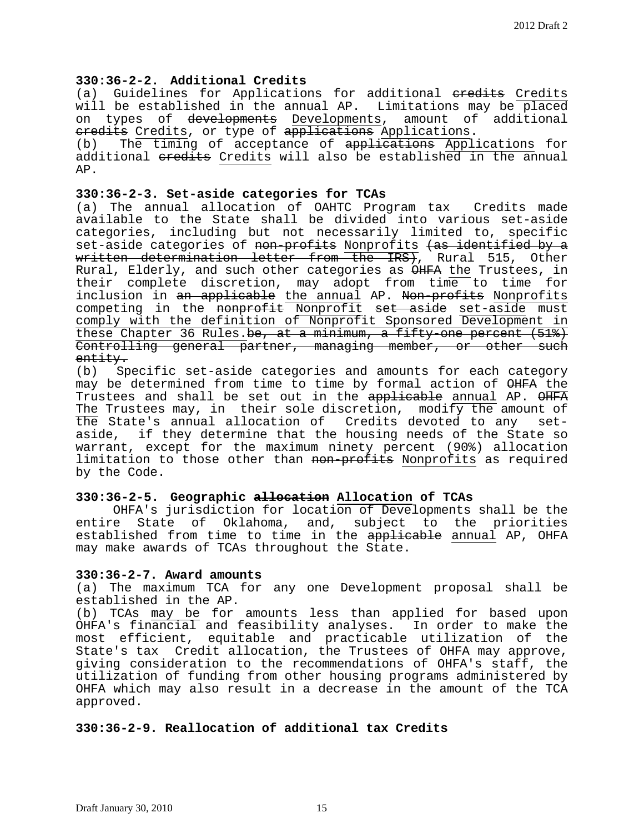# **330:36-2-2. Additional Credits**

(a) Guidelines for Applications for additional eredits Credits will be established in the annual AP. Limitations may be placed on types of developments Developments, amount of additional

eredits Credits, or type of applications Applications.<br>(b) The timing of acceptance of applications Appl The timing of acceptance of applications Applications for additional eredits Credits will also be established in the annual AP.

## **330:36-2-3. Set-aside categories for TCAs**

(a) The annual allocation of OAHTC Program tax Credits made available to the State shall be divided into various set-aside categories, including but not necessarily limited to, specific set-aside categories of non-profits Nonprofits (as identified by a written determination letter from the IRS), Rural 515, Other Rural, Elderly, and such other categories as OHFA the Trustees, in their complete discretion, may adopt from time to time for inclusion in an applicable the annual AP. Non-profits Nonprofits competing in the nonprofit Nonprofit set aside set-aside must comply with the definition of Nonprofit Sponsored Development in these Chapter 36 Rules.<del>be, at a minimum, a fifty-one percent (51%)</del> Controlling general partner, managing member, or other such<br>entity.

(b) Specific set-aside categories and amounts for each category may be determined from time to time by formal action of OHFA the Trustees and shall be set out in the applicable annual AP. OHFA The Trustees may, in their sole discretion, modify the amount of the State's annual allocation of Credits devoted to any setaside, if they determine that the housing needs of the State so warrant, except for the maximum ninety percent (90%) allocation limitation to those other than non-profits Nonprofits as required by the Code.

## **330:36-2-5. Geographic allocation Allocation of TCAs**

OHFA's jurisdiction for location of Developments shall be the<br>entire State of Oklahoma, and, subject to the priorities State of Oklahoma, and, subject to the priorities established from time to time in the applicable annual AP, OHFA may make awards of TCAs throughout the State.

## **330:36-2-7. Award amounts**

(a) The maximum TCA for any one Development proposal shall be

(b) TCAs may be for amounts less than applied for based upon OHFA's financial and feasibility analyses. In order to make the most efficient, equitable and practicable utilization of the State's tax Credit allocation, the Trustees of OHFA may approve, giving consideration to the recommendations of OHFA's staff, the utilization of funding from other housing programs administered by OHFA which may also result in a decrease in the amount of the TCA approved.

# **330:36-2-9. Reallocation of additional tax Credits**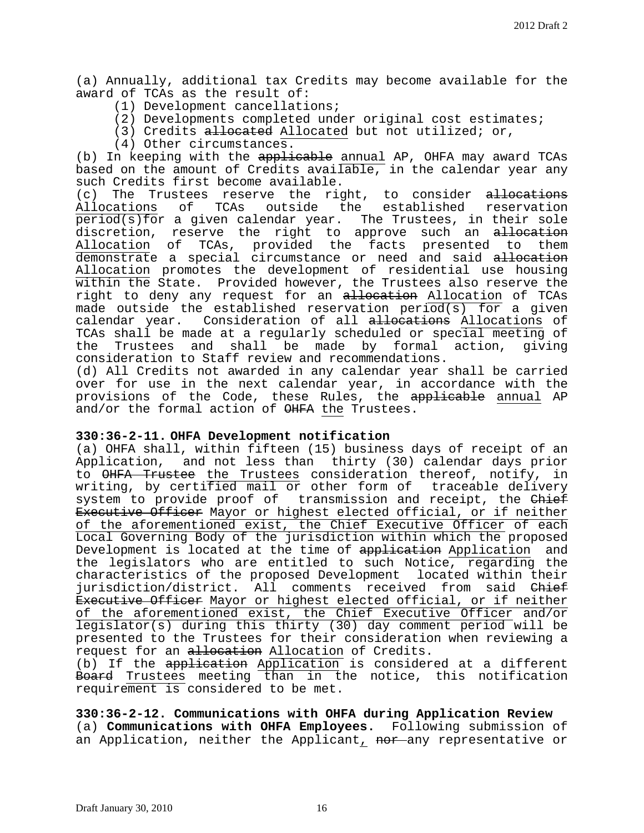(a) Annually, additional tax Credits may become available for the award of TCAs as the result of:

- (1) Development cancellations;
- (2) Developments completed under original cost estimates;
- (3) Credits allocated Allocated but not utilized; or,
- (4) Other circumstances.

(b) In keeping with the applicable annual AP, OHFA may award TCAs based on the amount of Credits available, in the calendar year any such Credits first become available.<br>(c) The Trustees reserve the ric

(c) The Trustees reserve the right, to consider <del>allocations</del><br>Allocations of TCAs outside the established reservation TCAs outside the established reservation period(s)for a given calendar year. The Trustees, in their sole discretion, reserve the right to approve such an allocation<br>Allocation of TCAs, provided the facts presented to them Allocation of TCAs, provided the demonstrate a special circumstance or need and said allocation Allocation promotes the development of residential use housing within the State. Provided however, the Trustees also reserve the right to deny any request for an allocation Allocation of TCAs made outside the established reservation period(s) for a given calendar year. Consideration of all allocations Allocations of TCAs shall be made at a regularly scheduled or special meeting of<br>the Trustees and shall be made by formal action, giving the Trustees and shall be made by formal action, consideration to Staff review and recommendations.

(d) All Credits not awarded in any calendar year shall be carried over for use in the next calendar year, in accordance with the provisions of the Code, these Rules, the <del>applicable</del> annual AP and/or the formal action of OHFA the Trustees.

## **330:36-2-11. OHFA Development notification**

(a) OHFA shall, within fifteen (15) business days of receipt of an Application, and not less than thirty (30) calendar days prior to OHFA Trustee the Trustees consideration thereof, notify, in<br>writing, by certified mail or other form of traceable delivery writing, by certified mail or other form of system to provide proof of transmission and receipt, the Chief Executive Officer Mayor or highest elected official, or if neither of the aforementioned exist, the Chief Executive Officer of each Local Governing Body of the jurisdiction within which the proposed Development is located at the time of application Application and the legislators who are entitled to such Notice, regarding the characteristics of the proposed Development located within their jurisdiction/district. All comments received from said Chief Executive Officer Mayor or highest elected official, or if neither of the aforementioned exist, the Chief Executive Officer and/or legislator(s) during this thirty (30) day comment period will be presented to the Trustees for their consideration when reviewing a request for an allocation Allocation of Credits.

(b) If the application Application is considered at a different Board Trustees meeting than in the notice, this notification requirement is considered to be met.

**330:36-2-12. Communications with OHFA during Application Review** (a) **Communications with OHFA Employees.** Following submission of an Application, neither the Applicant, nor any representative or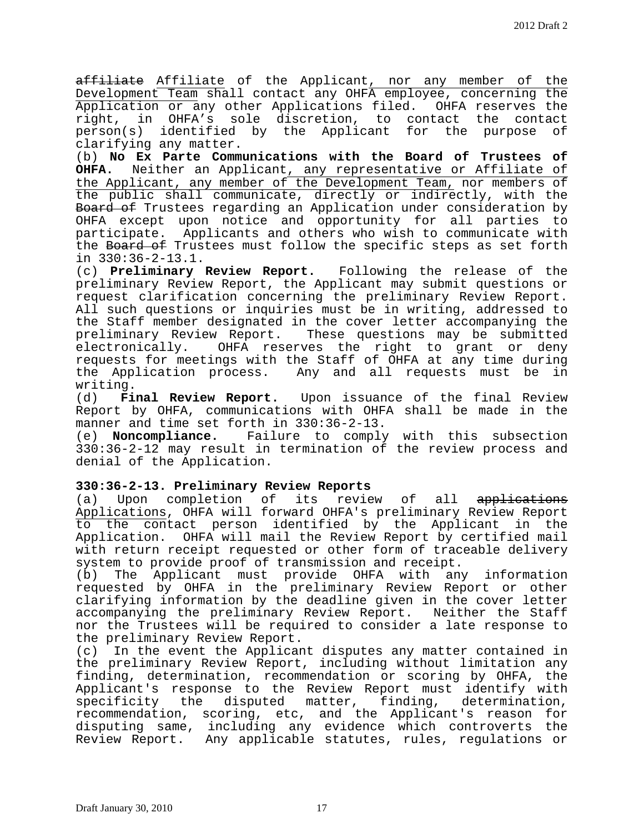affiliate Affiliate of the Applicant, nor any member of the Development Team shall contact any OHFA employee, concerning the Application or any other Applications filed. OHFA reserves the<br>right, in OHFA's sole discretion, to contact the contact right, in OHFA's sole discretion, to contact the contact<br>person(s) identified by the Applicant for the purpose of person(s) identified by the Applicant for the purpose clarifying any matter.

(b) **No Ex Parte Communications with the Board of Trustees of OHFA.** Neither an Applicant, any representative or Affiliate of the Applicant, any member of the Development Team, nor members of the public shall communicate, directly or indirectly, with the Board of Trustees regarding an Application under consideration by OHFA except upon notice and opportunity for all parties to participate. Applicants and others who wish to communicate with the Board of Trustees must follow the specific steps as set forth in 330:36-2-13.1.

(c) **Preliminary Review Report.** Following the release of the preliminary Review Report, the Applicant may submit questions or request clarification concerning the preliminary Review Report. All such questions or inquiries must be in writing, addressed to the Staff member designated in the cover letter accompanying the preliminary Review Report. These questions may be submitted<br>electronically. OHFA reserves the right to grant or deny OHFA reserves the right to grant or deny requests for meetings with the Staff of OHFA at any time during the Application process. Any and all requests must be in

writing.<br>(d) **Fi** Final Review Report. Upon issuance of the final Review Report by OHFA, communications with OHFA shall be made in the manner and time set forth in 330:36-2-13.<br>(e) **Noncompliance.** Failure to comply

Failure to comply with this subsection 330:36-2-12 may result in termination of the review process and denial of the Application.

## **330:36-2-13. Preliminary Review Reports**

(a) Upon completion of its review of all applications Applications, OHFA will forward OHFA's preliminary Review Report to the contact person identified by the Applicant in the Application. OHFA will mail the Review Report by certified mail with return receipt requested or other form of traceable delivery system to provide proof of transmission and receipt.

(b) The Applicant must provide OHFA with any information requested by OHFA in the preliminary Review Report or other clarifying information by the deadline given in the cover letter accompanying the preliminary Review Report. Neither the Staff nor the Trustees will be required to consider a late response to the preliminary Review Report.<br>(c) In the event the Applican

In the event the Applicant disputes any matter contained in the preliminary Review Report, including without limitation any finding, determination, recommendation or scoring by OHFA, the Applicant's response to the Review Report must identify with<br>specificity the disputed matter, finding, determination, specificity the disputed matter, finding, recommendation, scoring, etc, and the Applicant's reason for disputing same, including any evidence which controverts the Review Report. Any applicable statutes, rules, regulations or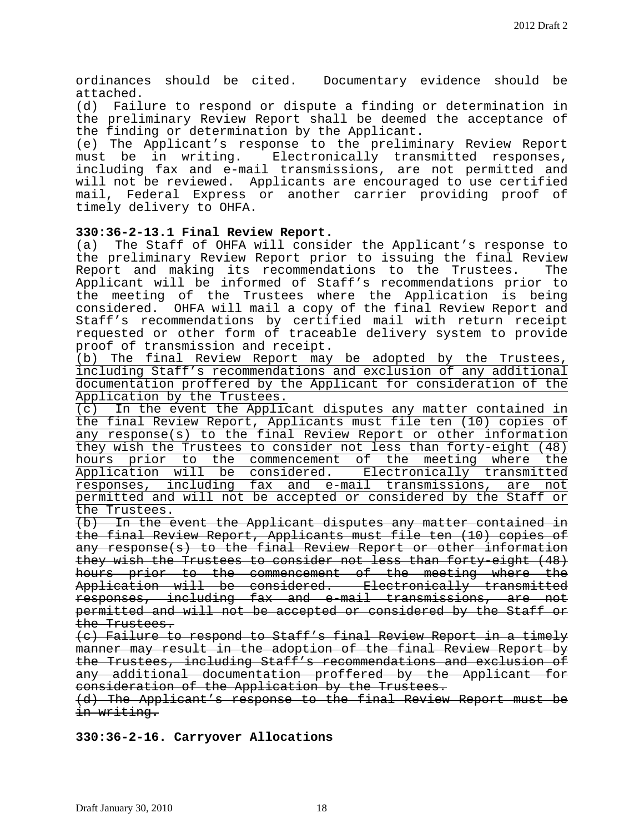ordinances should be cited. Documentary evidence should be attached.<br>(d) Fail

Failure to respond or dispute a finding or determination in the preliminary Review Report shall be deemed the acceptance of the finding or determination by the Applicant.

(e) The Applicant's response to the preliminary Review Report<br>must be in writing. Electronically transmitted responses, Electronically transmitted responses, including fax and e-mail transmissions, are not permitted and will not be reviewed. Applicants are encouraged to use certified mail, Federal Express or another carrier providing proof of timely delivery to OHFA.

# **330:36-2-13.1 Final Review Report.**

The Staff of OHFA will consider the Applicant's response to the preliminary Review Report prior to issuing the final Review<br>Report and making its recommendations to the Trustees. The Report and making its recommendations to the Trustees. Applicant will be informed of Staff's recommendations prior to the meeting of the Trustees where the Application is being considered. OHFA will mail a copy of the final Review Report and Staff's recommendations by certified mail with return receipt requested or other form of traceable delivery system to provide proof of transmission and receipt.

(b) The final Review Report may be adopted by the Trustees, including Staff's recommendations and exclusion of any additional documentation proffered by the Applicant for consideration of the  $\frac{\text{Application by the Trustees.}}{\text{(c)}$  In the event the Applic

In the event the Applicant disputes any matter contained in the final Review Report, Applicants must file ten (10) copies of any response(s) to the final Review Report or other information they wish the Trustees to consider not less than forty-eight (48) hours prior to the commencement of the meeting where the Application will be considered. Electronically transmitted responses, including fax and e-mail transmissions, are not permitted and will not be accepted or considered by the Staff or the Trustees.

(b) In the event the Applicant disputes any matter contained in the final Review Report, Applicants must file ten (10) copies of any response(s) to the final Review Report or other information they wish the Trustees to consider not less than forty-eight (48) hours prior to the commencement of the meeting where the Application will be considered. Electronically transmitted responses, including fax and e-mail transmissions, are not permitted and will not be accepted or considered by the Staff or the Trustees.

(c) Failure to respond to Staff's final Review Report in a timely manner may result in the adoption of the final Review Report by the Trustees, including Staff's recommendations and exclusion of any additional documentation proffered by the Applicant for consideration of the Application by the Trustees.

(d) The Applicant's response to the final Review Report must be in writing.

**330:36-2-16. Carryover Allocations**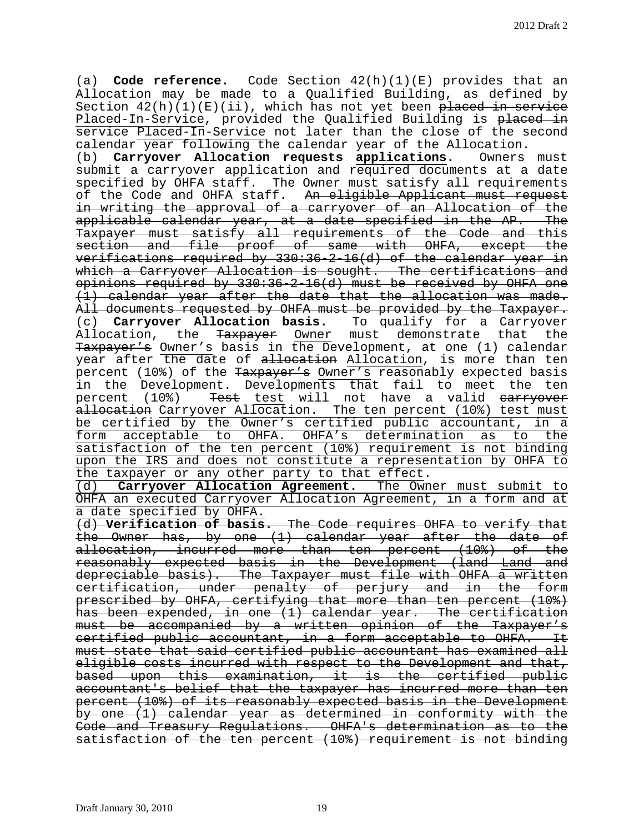(a) **Code reference.** Code Section 42(h)(1)(E) provides that an Allocation may be made to a Qualified Building, as defined by Section  $42(h)(1)(E)(ii)$ , which has not yet been placed in service Placed-In-Service, provided the Qualified Building is placed in service Placed-In-Service not later than the close of the second calendar year following the calendar year of the Allocation.<br>(b) **Carryover Allocation <del>requests</del> applications.** Owners must

(b) **Carryover Allocation <del>requests</del> applications.** submit a carryover application and required documents at a date specified by OHFA staff. The Owner must satisfy all requirements of the Code and OHFA staff. An eligible Applicant must request in writing the approval of a carryover of an Allocation of the applicable calendar year, at a date specified in the AP. The Taxpayer must satisfy all requirements of the Code and this section and file proof of same with OHFA, except the verifications required by 330:36-2-16(d) of the calendar year in which a Carryover Allocation is sought. The certifications and opinions required by 330:36-2-16(d) must be received by OHFA one (1) calendar year after the date that the allocation was made. All documents requested by OHFA must be provided by the Taxpayer. (c) **Carryover Allocation basis.** To qualify for a Carryover Allocation, the Taxpayer Owner must demonstrate that the Taxpayer's Owner's basis in the Development, at one (1) calendar year after the date of allocation Allocation, is more than ten percent (10%) of the Taxpayer's Owner's reasonably expected basis in the Development. Developments that fail to meet the ten percent (10%) Test test will not have a valid earryover allocation Carryover Allocation. The ten percent (10%) test must be certified by the Owner's certified public accountant, in a form acceptable to OHFA. OHFA's determination as to the satisfaction of the ten percent (10%) requirement is not binding upon the IRS and does not constitute a representation by OHFA to the taxpayer or any other party to that effect.

(d) **Carryover Allocation Agreement.** The Owner must submit to OHFA an executed Carryover Allocation Agreement, in a form and at a date specified by OHFA.

(d) **Verification of basis.** The Code requires OHFA to verify that the Owner has, by one (1) calendar year after the date of allocation, incurred more than ten percent (10%) of the reasonably expected basis in the Development (land Land and depreciable basis). The Taxpayer must file with OHFA a written certification, under penalty of perjury and in the form prescribed by OHFA, certifying that more than ten percent (10%) has been expended, in one (1) calendar year. The certification must be accompanied by a written opinion of the Taxpayer's certified public accountant, in a form acceptable to OHFA. It must state that said certified public accountant has examined all eligible costs incurred with respect to the Development and that, based upon this examination, it is the certified public accountant's belief that the taxpayer has incurred more than ten percent (10%) of its reasonably expected basis in the Development by one (1) calendar year as determined in conformity with the Code and Treasury Regulations. OHFA's determination as to the satisfaction of the ten percent (10%) requirement is not binding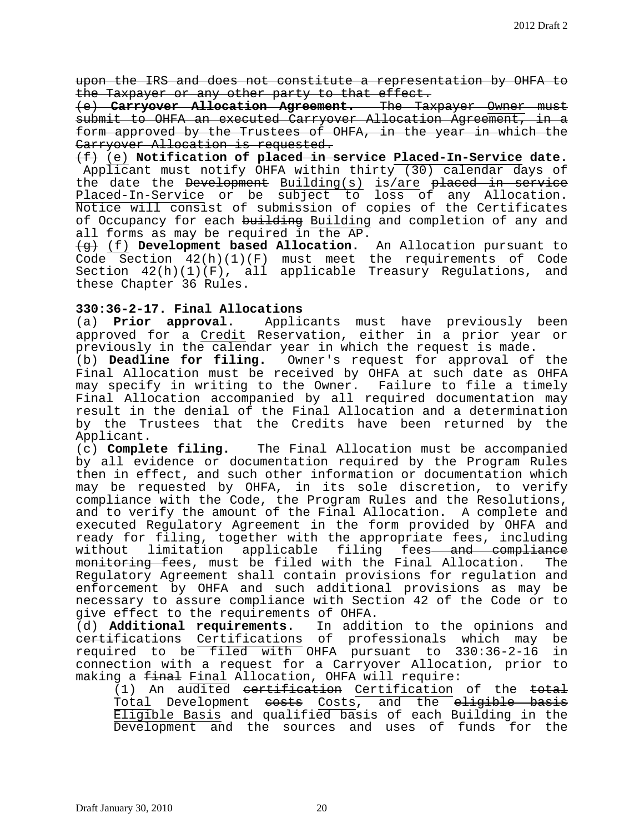upon the IRS and does not constitute a representation by OHFA to the Taxpayer or any other party to that effect.

(e) **Carryover Allocation Agreement.** The Taxpayer Owner must submit to OHFA an executed Carryover Allocation Agreement, in a form approved by the Trustees of OHFA, in the year in which the Carryover Allocation is requested.

(f) (e) **Notification of placed in service Placed-In-Service date.** Applicant must notify OHFA within thirty (30) calendar days of the date the Development Building(s) is/are placed in service Placed-In-Service or be subject to loss of any Allocation. Notice will consist of submission of copies of the Certificates of Occupancy for each building Building and completion of any and all forms as may be required in the AP.

(g) (f) **Development based Allocation.** An Allocation pursuant to Code Section 42(h)(1)(F) must meet the requirements of Code Section  $42(h)(1)(F)$ , all applicable Treasury Regulations, and these Chapter 36 Rules.

# **330:36-2-17. Final Allocations**

Applicants must have previously been approved for a Credit Reservation, either in a prior year or previously in the calendar year in which the request is made.

(b) **Deadline for filing.** Owner's request for approval of the Final Allocation must be received by OHFA at such date as OHFA may specify in writing to the Owner. Failure to file a timely Final Allocation accompanied by all required documentation may result in the denial of the Final Allocation and a determination by the Trustees that the Credits have been returned by the

Applicant.<br>(c) **Complete filing.** The Final Allocation must be accompanied by all evidence or documentation required by the Program Rules then in effect, and such other information or documentation which may be requested by OHFA, in its sole discretion, to verify compliance with the Code, the Program Rules and the Resolutions, and to verify the amount of the Final Allocation. A complete and executed Regulatory Agreement in the form provided by OHFA and ready for filing, together with the appropriate fees, including<br>without limitation applicable filing fees<del> and compliance</del> limitation applicable filing fees<del> and compliance</del> monitoring fees, must be filed with the Final Allocation. The Regulatory Agreement shall contain provisions for regulation and enforcement by OHFA and such additional provisions as may be necessary to assure compliance with Section 42 of the Code or to give effect to the requirements of OHFA.

(d) **Additional requirements.** In addition to the opinions and eertifications Certifications of professionals which may be<br>required to be filed with OHFA pursuant to 330:36-2-16 in required to be filed with OHFA pursuant to 330:36-2-16 connection with a request for a Carryover Allocation, prior to making a final Final Allocation, OHFA will require:

(1) An audited certification Certification of the total Total Development costs Costs, and the eligible basis Eligible Basis and qualified basis of each Building in the Development and the sources and uses of funds for the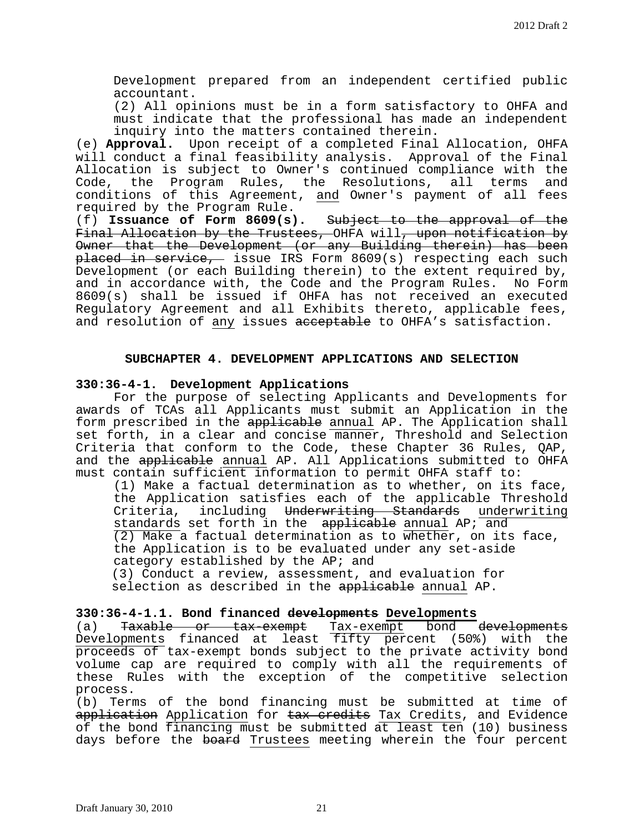Development prepared from an independent certified public accountant.

(2) All opinions must be in a form satisfactory to OHFA and must indicate that the professional has made an independent inquiry into the matters contained therein.

(e) **Approval.** Upon receipt of a completed Final Allocation, OHFA will conduct a final feasibility analysis. Approval of the Final Allocation is subject to Owner's continued compliance with the<br>Code, the Program Rules, the Resolutions, all terms and the Program Rules, the Resolutions, all terms and conditions of this Agreement, and Owner's payment of all fees required by the Program Rule.

(f) **Issuance of Form 8609(s).** Subject to the approval of the Final Allocation by the Trustees, OHFA will, upon notification by Owner that the Development (or any Building therein) has been placed in service, issue IRS Form 8609(s) respecting each such Development (or each Building therein) to the extent required by, and in accordance with, the Code and the Program Rules. No Form 8609(s) shall be issued if OHFA has not received an executed Regulatory Agreement and all Exhibits thereto, applicable fees, and resolution of any issues acceptable to OHFA's satisfaction.

# **SUBCHAPTER 4. DEVELOPMENT APPLICATIONS AND SELECTION**

## **330:36-4-1. Development Applications**

 For the purpose of selecting Applicants and Developments for awards of TCAs all Applicants must submit an Application in the form prescribed in the applicable annual AP. The Application shall set forth, in a clear and concise manner, Threshold and Selection Criteria that conform to the Code, these Chapter 36 Rules, QAP, and the applicable annual AP. All Applications submitted to OHFA must contain sufficient information to permit OHFA staff to:

(1) Make a factual determination as to whether, on its face, the Application satisfies each of the applicable Threshold Criteria, including Underwriting Standards underwriting standards set forth in the applicable annual AP; and (2) Make a factual determination as to whether, on its face, the Application is to be evaluated under any set-aside category established by the AP; and

(3) Conduct a review, assessment, and evaluation for selection as described in the applicable annual AP.

# **330:36-4-1.1. Bond financed developments Developments**

(a) Taxable or tax-exempt Tax-exempt bond developments Developments financed at least fifty percent (50%) with the proceeds of tax-exempt bonds subject to the private activity bond volume cap are required to comply with all the requirements of these Rules with the exception of the competitive selection process.

(b) Terms of the bond financing must be submitted at time of application Application for tax credits Tax Credits, and Evidence of the bond financing must be submitted at least ten (10) business days before the board Trustees meeting wherein the four percent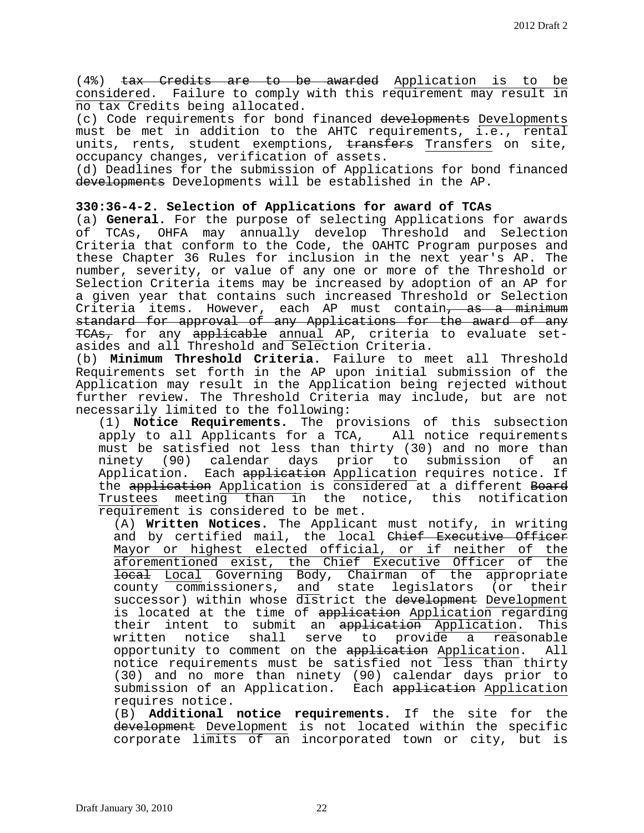(4%) tax Credits are to be awarded Application is to be considered. Failure to comply with this requirement may result in no tax Credits being allocated.

(c) Code requirements for bond financed developments Developments must be met in addition to the AHTC requirements, i.e., rental units, rents, student exemptions, transfers Transfers on site, occupancy changes, verification of assets.

(d) Deadlines for the submission of Applications for bond financed developments Developments will be established in the AP.

# **330:36-4-2. Selection of Applications for award of TCAs**

(a) **General.** For the purpose of selecting Applications for awards of TCAs, OHFA may annually develop Threshold and Selection Criteria that conform to the Code, the OAHTC Program purposes and these Chapter 36 Rules for inclusion in the next year's AP. The number, severity, or value of any one or more of the Threshold or Selection Criteria items may be increased by adoption of an AP for a given year that contains such increased Threshold or Selection Criteria items. However, each AP must contain<del>, as a minimum</del> standard for approval of any Applications for the award of any TCAs, for any applicable annual AP, criteria to evaluate setasides and all Threshold and Selection Criteria.

(b) **Minimum Threshold Criteria.** Failure to meet all Threshold Requirements set forth in the AP upon initial submission of the Application may result in the Application being rejected without further review. The Threshold Criteria may include, but are not necessarily limited to the following:

(1) **Notice Requirements.** The provisions of this subsection apply to all Applicants for a TCA, All notice requirements must be satisfied not less than thirty (30) and no more than ninety (90) calendar days prior to submission of Application. Each application Application requires notice. If the application Application is considered at a different Board Trustees meeting than in the notice, this notification requirement is considered to be met.

(A) **Written Notices.** The Applicant must notify, in writing and by certified mail, the local Chief Executive Officer Mayor or highest elected official, or if neither of the aforementioned exist, the Chief Executive Officer of the local Local Governing Body, Chairman of the appropriate county commissioners, and state legislators (or their successor) within whose district the development Development is located at the time of application Application regarding their intent to submit an application Application. This written notice shall serve to provide a reasonable<br>opportunity to comment on the application Application. All opportunity to comment on the application Application. notice requirements must be satisfied not less than thirty (30) and no more than ninety (90) calendar days prior to submission of an Application. Each application Application requires notice.

(B) **Additional notice requirements.** If the site for the development Development is not located within the specific corporate limits of an incorporated town or city, but is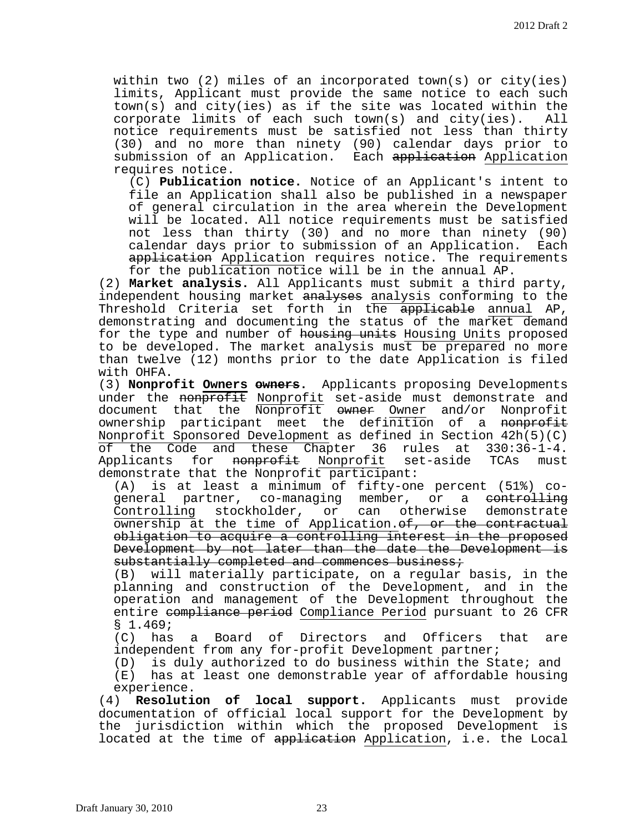within two (2) miles of an incorporated town(s) or city(ies) limits, Applicant must provide the same notice to each such town(s) and city(ies) as if the site was located within the<br>corporate limits of each such town(s) and city(ies). All corporate limits of each such town(s) and city(ies). notice requirements must be satisfied not less than thirty (30) and no more than ninety (90) calendar days prior to submission of an Application. Each application Application requires notice.

(C) **Publication notice.** Notice of an Applicant's intent to file an Application shall also be published in a newspaper of general circulation in the area wherein the Development will be located. All notice requirements must be satisfied not less than thirty (30) and no more than ninety (90) calendar days prior to submission of an Application. Each application Application requires notice. The requirements for the publication notice will be in the annual AP.

(2) **Market analysis.** All Applicants must submit a third party, independent housing market analyses analysis conforming to the Threshold Criteria set forth in the applicable annual AP, demonstrating and documenting the status of the market demand for the type and number of housing units Housing Units proposed to be developed. The market analysis must be prepared no more than twelve (12) months prior to the date Application is filed with OHFA.

(3) **Nonprofit Owners owners.** Applicants proposing Developments under the nonprofit Nonprofit set-aside must demonstrate and document that the Nonprofit owner Owner and/or Nonprofit ownership participant meet the definition of a nonprofit Nonprofit Sponsored Development as defined in Section 42h(5)(C) of the Code and these Chapter 36 rules at 330:36-1-4.<br>Applicants for <del>nonprofit</del> Nonprofit set-aside TCAs must Applicants for nonprofit Nonprofit demonstrate that the Nonprofit participant:<br>(A) is at least a minimum of fifty-one

(A) is at least a minimum of fifty-one percent (51%) co-<br>qeneral partner, co-managing member, or a <del>controlling</del> general partner, co-managing member, or a <del>controlling</del><br>Controlling stockholder, or can otherwise demonstrate stockholder, or ownership at the time of Application. of, or the contractual obligation to acquire a controlling interest in the proposed Development by not later than the date the Development is substantially completed and commences business;

(B) will materially participate, on a regular basis, in the planning and construction of the Development, and in the operation and management of the Development throughout the entire compliance period Compliance Period pursuant to 26 CFR § 1.469;

(C) has a Board of Directors and Officers that are independent from any for-profit Development partner;

(D) is duly authorized to do business within the State; and

(E) has at least one demonstrable year of affordable housing experience.

(4) **Resolution of local support.** Applicants must provide documentation of official local support for the Development by the jurisdiction within which the proposed Development is located at the time of application Application, i.e. the Local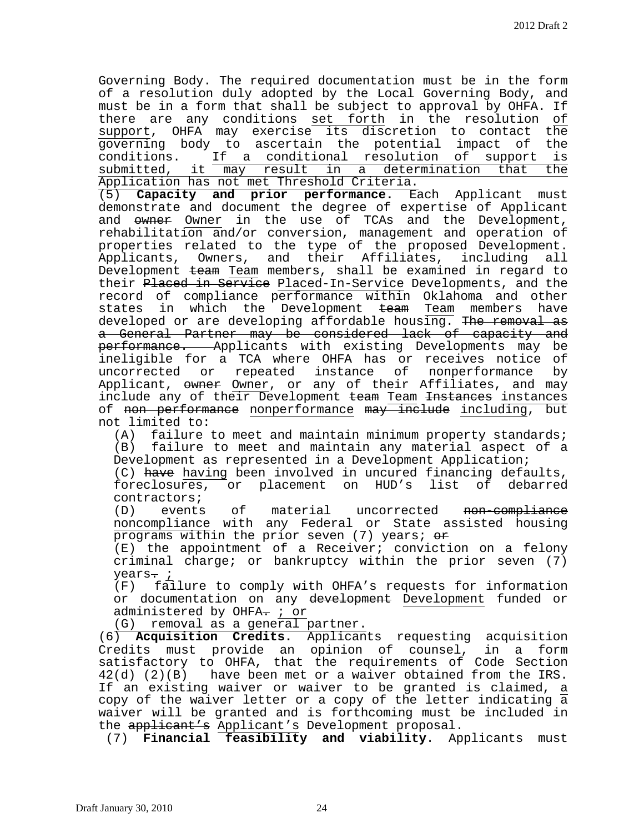Governing Body. The required documentation must be in the form of a resolution duly adopted by the Local Governing Body, and must be in a form that shall be subject to approval by OHFA. If there are any conditions set forth in the resolution of support, OHFA may exercise its discretion to contact the<br>governing body to ascertain the potential impact of the governing body to ascertain the potential impact of the<br>conditions. If a conditional resolution of support is conditions. If a conditional resolution of support is submitted, it may result in a determination that the Application has not met Threshold Criteria.<br>(5) Capacity and prior performance. Ea

Capacity and prior performance. Each Applicant must demonstrate and document the degree of expertise of Applicant and owner Owner in the use of TCAs and the Development, rehabilitation and/or conversion, management and operation of properties related to the type of the proposed Development. Applicants, Owners, and their Affiliates, including all Development team Team members, shall be examined in regard to their Placed in Service Placed-In-Service Developments, and the record of compliance performance within Oklahoma and other states in which the Development team Team members have developed or are developing affordable housing. The removal as a General Partner may be considered lack of capacity and performance. Applicants with existing Developments may be ineligible for a TCA where OHFA has or receives notice of uncorrected or repeated instance of nonperformance Applicant, owner Owner, or any of their Affiliates, and may include any of their Development team Team Instances instances of non performance nonperformance may include including, but not limited to:<br>(A) failure

failure to meet and maintain minimum property standards; (B) failure to meet and maintain any material aspect of a Development as represented in a Development Application;

(C) have having been involved in uncured financing defaults,<br>foreclosures, or placement on HUD's list of debarred foreclosures, or placement on HUD's list of contractors;<br>(D) events

of material uncorrected <del>non-compliance</del> noncompliance with any Federal or State assisted housing programs within the prior seven (7) years;  $\theta$ 

(E) the appointment of a Receiver; conviction on a felony criminal charge; or bankruptcy within the prior seven (7) years<del>.</del> *i*<br>(F) fai

failure to comply with OHFA's requests for information or documentation on any development Development funded or administered by OHFA. ; or

(G) removal as a general partner.

(6) **Acquisition Credits.** Applicants requesting acquisition Credits must provide an opinion of counsel, in a form satisfactory to OHFA, that the requirements of Code Section 42(d) (2)(B) have been met or a waiver obtained from the IRS. If an existing waiver or waiver to be granted is claimed, a copy of the waiver letter or a copy of the letter indicating  $\overline{a}$ waiver will be granted and is forthcoming must be included in the applicant's Applicant's Development proposal.

(7) **Financial feasibility and viability**. Applicants must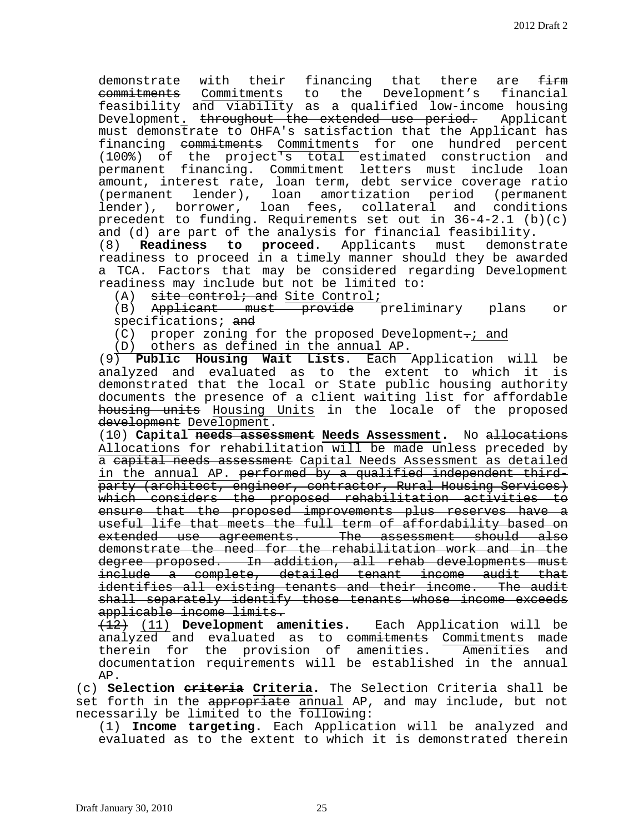demonstrate with their financing that there are firm commitments Commitments to the Development's financial feasibility and viability as a qualified low-income housing Development. throughout the extended use period. Applicant must demonstrate to OHFA's satisfaction that the Applicant has financing commitments Commitments for one hundred percent (100%) of the project's total estimated construction and permanent financing. Commitment letters must include loan amount, interest rate, loan term, debt service coverage ratio (permanent lender), loan amortization period (permanent lender), borrower, loan fees, collateral and conditions precedent to funding. Requirements set out in 36-4-2.1 (b)(c) and (d) are part of the analysis for financial feasibility.<br>(8) **Readiness to proceed**. Applicants must demonst

(8) **Readiness to proceed**. Applicants must demonstrate readiness to proceed in a timely manner should they be awarded a TCA. Factors that may be considered regarding Development readiness may include but not be limited to:

(A) site control; and Site Control;

(B) Applicant must provide preliminary plans or specifications; and

 $(C)$  proper zoning for the proposed Development-; and

(D) others as defined in the annual AP.

(9) **Public Housing Wait Lists**. Each Application will be analyzed and evaluated as to the extent to which it is demonstrated that the local or State public housing authority documents the presence of a client waiting list for affordable housing units Housing Units in the locale of the proposed development Development.

(10) **Capital needs assessment Needs Assessment.** No allocations Allocations for rehabilitation will be made unless preceded by a eapital needs assessment Capital Needs Assessment as detailed in the annual AP. performed by a qualified independent thirdparty (architect, engineer, contractor, Rural Housing Services) which considers the proposed rehabilitation activities to ensure that the proposed improvements plus reserves have a useful life that meets the full term of affordability based on extended use agreements. The assessment should also demonstrate the need for the rehabilitation work and in the degree proposed. In addition, all rehab developments must include a complete, detailed tenant income audit that identifies all existing tenants and their income. The audit shall separately identify those tenants whose income exceeds applicable income limits.

(12) (11) **Development amenities.** Each Application will be analyzed and evaluated as to commitments Commitments made<br>therein for the provision of amenities. Amenities and therein for the provision of amenities. Amenities documentation requirements will be established in the annual AP.

(c) **Selection criteria Criteria.** The Selection Criteria shall be set forth in the appropriate annual AP, and may include, but not necessarily be limited to the following:

(1) **Income targeting.** Each Application will be analyzed and evaluated as to the extent to which it is demonstrated therein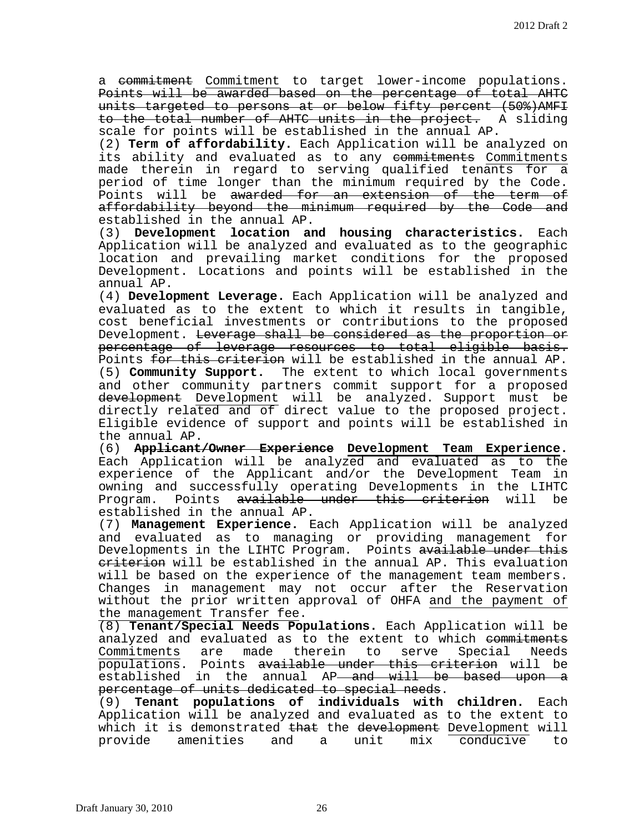a commitment Commitment to target lower-income populations. Points will be awarded based on the percentage of total AHTC units targeted to persons at or below fifty percent (50%)AMFI to the total number of AHTC units in the project. A sliding scale for points will be established in the annual AP.

(2) **Term of affordability.** Each Application will be analyzed on its ability and evaluated as to any commitments Commitments made therein in regard to serving qualified tenants for a period of time longer than the minimum required by the Code. Points will be awarded for an extension of the term of affordability beyond the minimum required by the Code and established in the annual AP.

(3) **Development location and housing characteristics.** Each Application will be analyzed and evaluated as to the geographic location and prevailing market conditions for the proposed Development. Locations and points will be established in the annual AP.

(4) **Development Leverage.** Each Application will be analyzed and evaluated as to the extent to which it results in tangible, cost beneficial investments or contributions to the proposed Development. Leverage shall be considered as the proportion or percentage of leverage resources to total eligible basis. Points for this criterion will be established in the annual AP. (5) **Community Support.** The extent to which local governments and other community partners commit support for a proposed development Development will be analyzed. Support must be directly related and of direct value to the proposed project. Eligible evidence of support and points will be established in the annual AP.

(6) **Applicant/Owner Experience Development Team Experience.** Each Application will be analyzed and evaluated as to the experience of the Applicant and/or the Development Team in owning and successfully operating Developments in the LIHTC<br>Program, Points <del>available under this criterion</del> will be Program. Points available under this criterion will established in the annual AP.

(7) **Management Experience.** Each Application will be analyzed and evaluated as to managing or providing management for Developments in the LIHTC Program. Points available under this eriterion will be established in the annual AP. This evaluation will be based on the experience of the management team members. Changes in management may not occur after the Reservation without the prior written approval of OHFA and the payment of the management Transfer fee.

(8) **Tenant/Special Needs Populations.** Each Application will be analyzed and evaluated as to the extent to which <del>commitments</del><br>Commitments are made therein to serve Special Needs Commitments are made therein to serve Special populations. Points available under this criterion will be established in the annual AP<del> and will be based upon a</del> percentage of units dedicated to special needs.

(9) **Tenant populations of individuals with children.** Each Application will be analyzed and evaluated as to the extent to which it is demonstrated <del>that</del> the development Development will<br>provide amenities and a unit mix conducive to amenities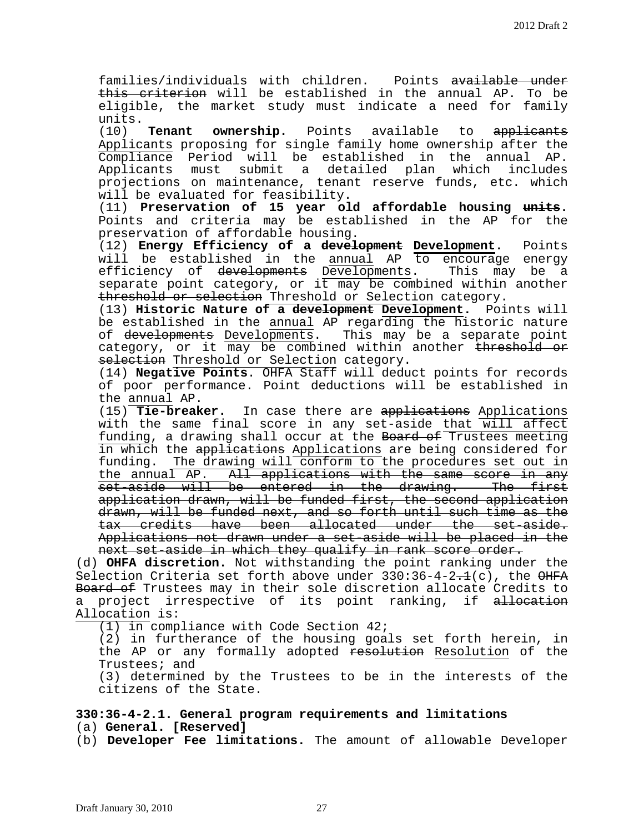families/individuals with children. Points available under this criterion will be established in the annual AP. To be eligible, the market study must indicate a need for family

units.<br>(10) (10) **Tenant ownership.** Points available to applicants Applicants proposing for single family home ownership after the Compliance Period will be established in the annual AP. submit a detailed plan which includes projections on maintenance, tenant reserve funds, etc. which will be evaluated for feasibility.

(11) **Preservation of 15 year old affordable housing units.** Points and criteria may be established in the AP for the preservation of affordable housing.

(12) **Energy Efficiency of a development Development.** Points will be established in the annual AP to encourage energy<br>efficiency of <del>developments</del> Developments. This may be a efficiency of <del>developments</del> Developments. separate point category, or  $i\bar{t}$  may be combined within another threshold or selection Threshold or Selection category.

(13) **Historic Nature of a development Development.** Points will be established in the annual AP regarding the historic nature of developments Developments. This may be a separate point category, or it may be combined within another threshold or selection Threshold or Selection category.

(14) **Negative Points**. OHFA Staff will deduct points for records of poor performance. Point deductions will be established in the  $\frac{\text{annual} \text{AP}}{\text{tie-breaker}}$ .

In case there are applications Applications with the same final score in any set-aside that will affect funding, a drawing shall occur at the Board of Trustees meeting in which the applications Applications are being considered for funding. The drawing will conform to the procedures set out in the annual AP. All applications with the same score in any set-aside will be entered in the drawing. The first application drawn, will be funded first, the second application drawn, will be funded next, and so forth until such time as the tax credits have been allocated under the set-aside. Applications not drawn under a set-aside will be placed in the next set-aside in which they qualify in rank score order.

(d) **OHFA discretion.** Not withstanding the point ranking under the Selection Criteria set forth above under  $330:36-4-2.1(c)$ , the  $\Theta$ HFA Board of Trustees may in their sole discretion allocate Credits to a project irrespective of its point ranking, if allocation Allocation is:

(1) in compliance with Code Section 42;

(2) in furtherance of the housing goals set forth herein, in the AP or any formally adopted <del>resolution</del> Resolution of the Trustees; and

(3) determined by the Trustees to be in the interests of the citizens of the State.

## **330:36-4-2.1. General program requirements and limitations** (a) **General. [Reserved]**

(b) **Developer Fee limitations.** The amount of allowable Developer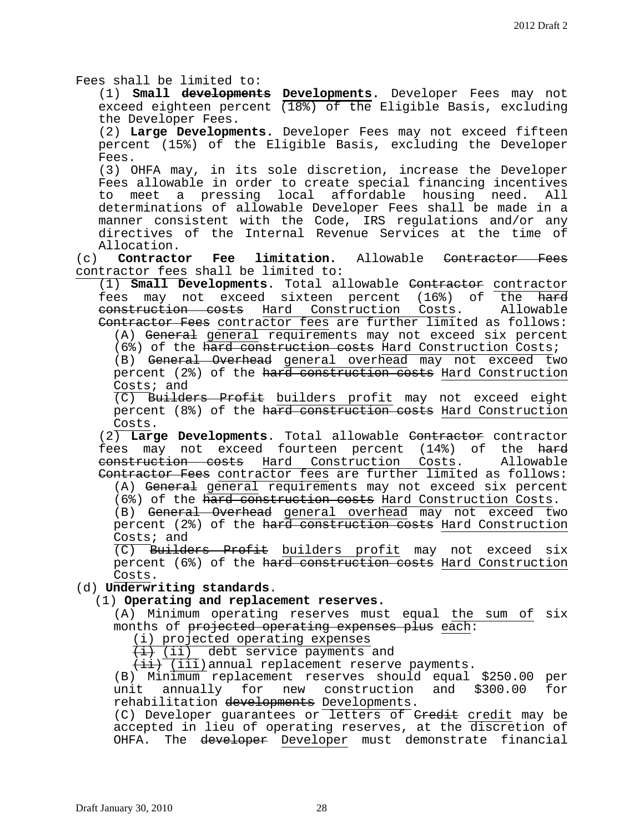Fees shall be limited to:

(1) **Small developments Developments.** Developer Fees may not exceed eighteen percent  $(18%)$  of the Eligible Basis, excluding the Developer Fees.

(2) **Large Developments.** Developer Fees may not exceed fifteen percent (15%) of the Eligible Basis, excluding the Developer Fees.

(3) OHFA may, in its sole discretion, increase the Developer Fees allowable in order to create special financing incentives to meet a pressing local affordable housing need. All determinations of allowable Developer Fees shall be made in a manner consistent with the Code, IRS regulations and/or any directives of the Internal Revenue Services at the time of

Allocation. **limitation.** Allowable Contractor Fees contractor fees shall be limited to:

(1) **Small Developments**. Total allowable Contractor contractor fees may not exceed sixteen percent (16%) of the <del>hard</del><br>construction costs Hard Construction Costs. Allowable construction costs Hard Construction Costs. Contractor Fees contractor fees are further limited as follows:

(A) General general requirements may not exceed six percent (6%) of the hard construction costs Hard Construction Costs;

(B) General Overhead general overhead may not exceed two percent (2%) of the hard construction costs Hard Construction Costs; and

(C) Builders Profit builders profit may not exceed eight percent (8%) of the hard construction costs Hard Construction

Costs. (2) **Large Developments**. Total allowable Contractor contractor fees may not exceed fourteen percent (14%) of the <del>hard</del><br>construction costs Hard Construction Costs. Allowable construction costs Hard Construction Costs. Contractor Fees contractor fees are further limited as follows:

(A) General general requirements may not exceed six percent

(6%) of the hard construction costs Hard Construction Costs. (B) General Overhead general overhead may not exceed two percent (2%) of the hard construction costs Hard Construction

 $\frac{\text{Costs}}{\text{(C)}}$  Build Builders Profit builders profit may not exceed six percent (6%) of the hard construction costs Hard Construction Costs.

## (d) **Underwriting standards**.

# (1) **Operating and replacement reserves.**

(A) Minimum operating reserves must equal the sum of six months of projected operating expenses plus each:

(i) projected operating expenses

 $\overline{4}$  (ii) debt service payments and

 $\overline{\{i\}}$  (iii) annual replacement reserve payments.

(B) Minimum replacement reserves should equal \$250.00 per<br>unit annually for new construction and \$300.00 for annually for new construction and \$300.00 for rehabilitation developments Developments.

(C) Developer guarantees or letters of  $G$  and  $G$  and  $G$  are  $G$  are  $G$  of  $G$ accepted in lieu of operating reserves, at the discretion of OHFA. The developer Developer must demonstrate financial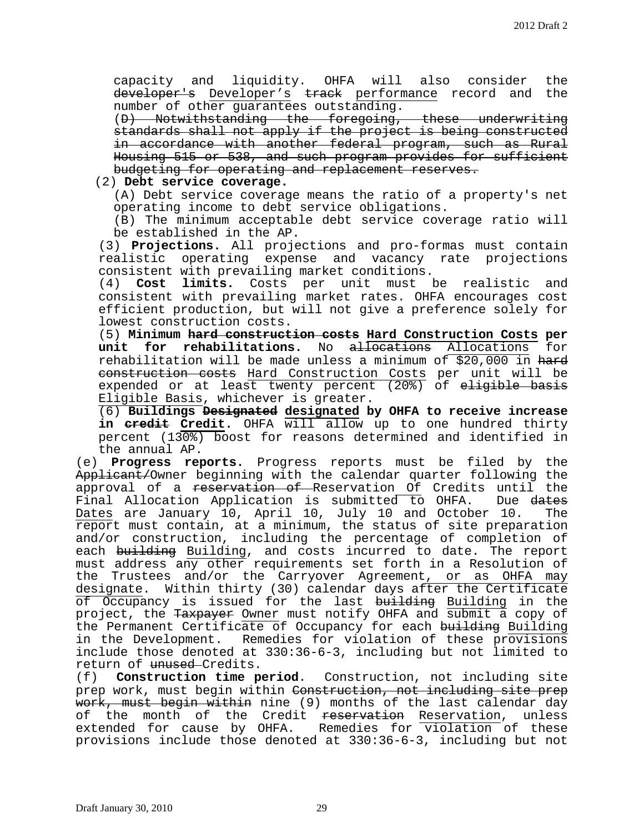capacity and liquidity. OHFA will also consider the developer's Developer's track performance record and the number of other guarantees outstanding.

(D) Notwithstanding the foregoing, these underwriting standards shall not apply if the project is being constructed in accordance with another federal program, such as Rural Housing 515 or 538, and such program provides for sufficient budgeting for operating and replacement reserves.

(2) **Debt service coverage.**

(A) Debt service coverage means the ratio of a property's net operating income to debt service obligations.

(B) The minimum acceptable debt service coverage ratio will be established in the AP.

(3) **Projections.** All projections and pro-formas must contain realistic operating expense and vacancy rate projections consistent with prevailing market conditions.<br>(4) **Cost limits.** Costs per unit must l

Cost limits. Costs per unit must be realistic and consistent with prevailing market rates. OHFA encourages cost efficient production, but will not give a preference solely for lowest construction costs.

(5) **Minimum hard construction costs Hard Construction Costs per**  unit for rehabilitations. No allocations Allocations rehabilitation will be made unless a minimum of \$20,000 in hard construction costs Hard Construction Costs per unit will be expended or at least twenty percent (20%) of e<del>ligible basis</del> Eligible Basis, whichever is greater.

(6) **Buildings Designated designated by OHFA to receive increase in credit Credit.** OHFA will allow up to one hundred thirty percent (130%) boost for reasons determined and identified in the annual AP.

(e) **Progress reports.** Progress reports must be filed by the Applicant/Owner beginning with the calendar quarter following the approval of a <del>reservation of R</del>eservation Of Credits until the<br>Final Allocation Application is submitted to OHFA. Due <del>dates</del> Final Allocation Application is submitted to OHFA. Due <del>dates</del><br>Dates are January 10, April 10, July 10 and October 10. The Dates are January 10, April 10, July 10 and October 10. report must contain, at a minimum, the status of site preparation and/or construction, including the percentage of completion of each building Building, and costs incurred to date. The report must address any other requirements set forth in a Resolution of the Trustees and/or the Carryover Agreement, or as OHFA may designate. Within thirty (30) calendar days after the Certificate of Occupancy is issued for the last building Building in the project, the Taxpayer Owner must notify OHFA and submit a copy of the Permanent Certificate of Occupancy for each building Building in the Development. Remedies for violation of these provisions include those denoted at 330:36-6-3, including but not limited to return of <del>unused</del>-Credits.<br>(f) **Construction time p** 

(f) **Construction time period**. Construction, not including site prep work, must begin within Construction, not including site prep work, must begin within nine (9) months of the last calendar day of the month of the Credit reservation Reservation, unless extended for cause by OHFA. Remedies for violation of these provisions include those denoted at 330:36-6-3, including but not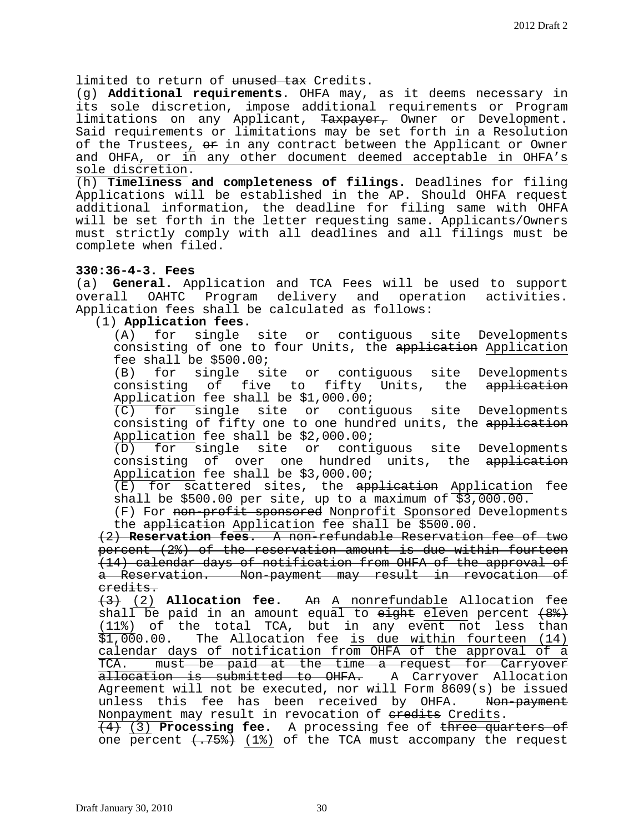limited to return of unused tax Credits.

(g) **Additional requirements.** OHFA may, as it deems necessary in its sole discretion, impose additional requirements or Program limitations on any Applicant, Taxpayer, Owner or Development. Said requirements or limitations may be set forth in a Resolution of the Trustees,  $\Theta$  in any contract between the Applicant or Owner and OHFA, or in any other document deemed acceptable in OHFA's sole discretion.

(h) **Timeliness and completeness of filings.** Deadlines for filing Applications will be established in the AP. Should OHFA request additional information, the deadline for filing same with OHFA will be set forth in the letter requesting same. Applicants/Owners must strictly comply with all deadlines and all filings must be complete when filed.

# **330:36-4-3. Fees**

(a) **General.** Application and TCA Fees will be used to support overall OAHTC Program delivery and operation activities. Application fees shall be calculated as follows:

# (1) **Application fees.**

single site or contiguous site Developments consisting of one to four Units, the application Application fee shall be \$500.00;<br>(B) for single si

(B) for single site or contiguous site Developments<br>consisting of five to fifty Units, the <del>application</del> five to fifty Units, the <del>application</del> Application fee shall be \$1,000.00;<br>(C) for single site or conti

for single site or contiguous site Developments consisting of fifty one to one hundred units, the application Application fee shall be \$2,000.00;

(D) for single site or contiguous site Developments consisting of over one hundred units, the application Application fee shall be \$3,000.00;

(E) for scattered sites, the <del>application</del> Application fee shall be \$500.00 per site, up to a maximum of \$3,000.00.

(F) For non-profit sponsored Nonprofit Sponsored Developments the application Application fee shall be \$500.00.

(2) **Reservation fees.** A non-refundable Reservation fee of two percent (2%) of the reservation amount is due within fourteen (14) calendar days of notification from OHFA of the approval of a Reservation. Non-payment may result in revocation of credits.

(3) (2) **Allocation fee.** An A nonrefundable Allocation fee shall be paid in an amount equal to  $e^{i\theta}$  eleven percent  $(8^2)$  $(11\%)$  of the total TCA, but in any event not less than<br>\$1,000.00. The Allocation fee is due within fourteen (14) The Allocation fee is due within fourteen (14) calendar days of notification from OHFA of the approval of a TCA. must be paid at the time a request for Carryover allocation is submitted to OHFA. A Carryover Allocation Agreement will not be executed, nor will Form 8609(s) be issued unless this fee has been received by OHFA. <del>Non-payment</del> Nonpayment may result in revocation of eredits Credits.

(4) (3) **Processing fee.** A processing fee of three quarters of one percent  $\langle .758 \rangle$  (1%) of the TCA must accompany the request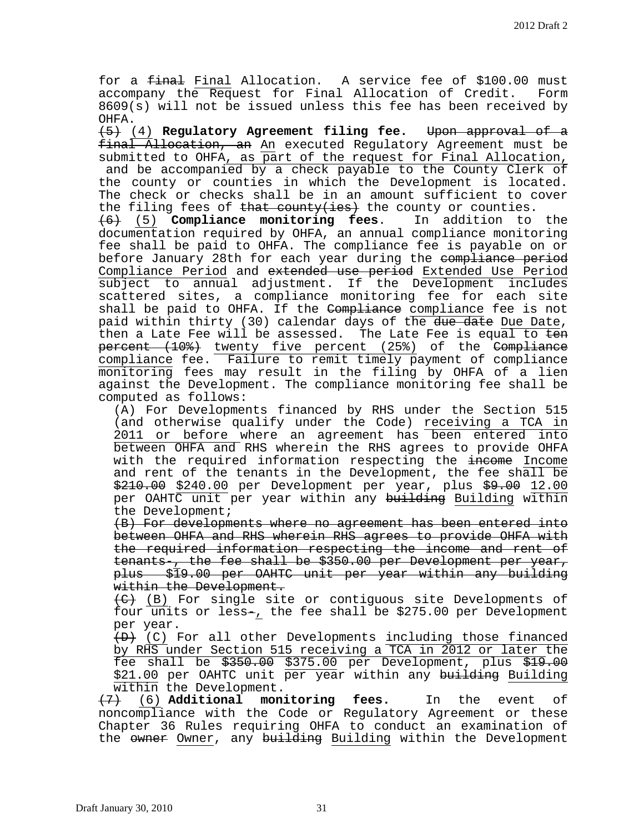for a final Final Allocation. A service fee of \$100.00 must accompany the Request for Final Allocation of Credit. Form 8609(s) will not be issued unless this fee has been received by OHFA.

(5) (4) **Regulatory Agreement filing fee.** Upon approval of a final Allocation, an An executed Regulatory Agreement must be submitted to OHFA, as part of the request for Final Allocation, and be accompanied by a check payable to the County Clerk of the county or counties in which the Development is located. The check or checks shall be in an amount sufficient to cover

the filing fees of <del>that county(ies)</del> the county or counties.<br><del>(6)</del> (5) **Compliance monitoring fees**. In addition to the (6) (5) **Compliance monitoring fees.** documentation required by OHFA, an annual compliance monitoring fee shall be paid to OHFA. The compliance fee is payable on or before January 28th for each year during the compliance period Compliance Period and extended use period Extended Use Period subject to annual adjustment. If the Development includes scattered sites, a compliance monitoring fee for each site shall be paid to OHFA. If the Compliance compliance fee is not paid within thirty (30) calendar days of the due date Due Date, then a Late Fee will be assessed. The Late Fee is equal to ten percent (10%) twenty five percent (25%) of the Compliance compliance fee. Failure to remit timely payment of compliance monitoring fees may result in the filing by OHFA of a lien against the Development. The compliance monitoring fee shall be computed as follows:

(A) For Developments financed by RHS under the Section 515 (and otherwise qualify under the Code) receiving a TCA in 2011 or before where an agreement has been entered into between OHFA and RHS wherein the RHS agrees to provide OHFA with the required information respecting the income Income and rent of the tenants in the Development, the fee shall be \$210.00 \$240.00 per Development per year, plus \$9.00 12.00 per OAHTC unit per year within any building Building within the Development;

(B) For developments where no agreement has been entered into between OHFA and RHS wherein RHS agrees to provide OHFA with the required information respecting the income and rent of tenants-, the fee shall be \$350.00 per Development per year, plus \$19.00 per OAHTC unit per year within any building within the Development.

(C) (B) For single site or contiguous site Developments of four units or less-, the fee shall be \$275.00 per Development per year.

 $(D)$  (C) For all other Developments including those financed by RHS under Section 515 receiving a TCA in 2012 or later the fee shall be  $$350.00$  \$375.00 per Development, plus  $$19.00$ \$21.00 per OAHTC unit per year within any building Building within the Development.

(7) (6) **Additional monitoring fees.** In the event of noncompliance with the Code or Regulatory Agreement or these Chapter 36 Rules requiring OHFA to conduct an examination of the owner Owner, any building Building within the Development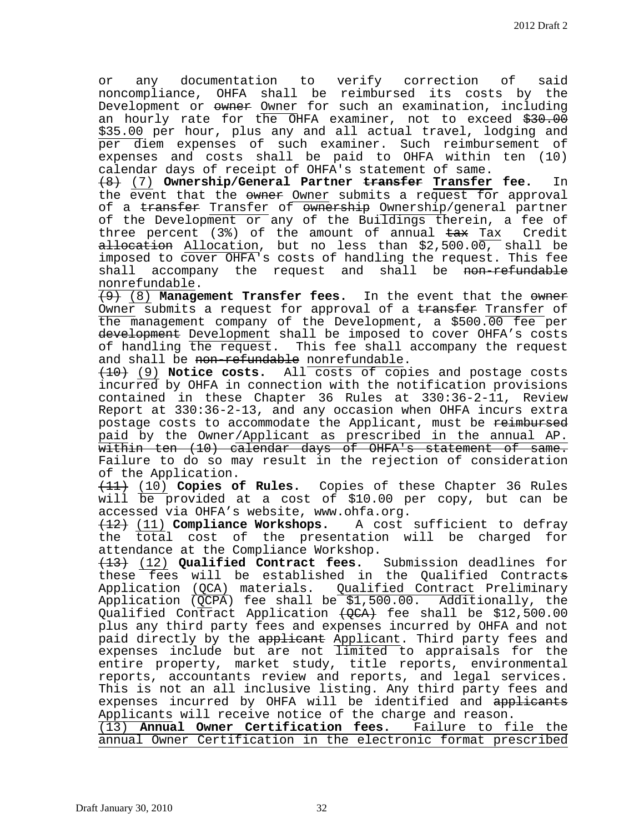or any documentation to verify correction of said noncompliance, OHFA shall be reimbursed its costs by the Development or owner Owner for such an examination, including an hourly rate for the OHFA examiner, not to exceed \$30.00 \$35.00 per hour, plus any and all actual travel, lodging and per diem expenses of such examiner. Such reimbursement of expenses and costs shall be paid to OHFA within ten (10) calendar days of receipt of OHFA's statement of same.

(8) (7) **Ownership/General Partner transfer Transfer fee.** In the event that the owner Owner submits a request for approval of a transfer Transfer of ownership Ownership/general partner of the Development or any of the Buildings therein, a fee of<br>three percent (3%) of the amount of annual <del>tax</del> Tax Credit three percent (3%) of the amount of annual  $\frac{1}{1}$  tax  $a\text{-}l\text{-}section$  Allocation, but no less than \$2,500.00, shall be imposed to cover OHFA's costs of handling the request. This fee<br>shall accompany the request and shall be <del>non-refundable</del> accompany the request and shall be <del>non-refundable</del> nonrefundable.

(9) (8) **Management Transfer fees.** In the event that the owner Owner submits a request for approval of a transfer Transfer of the management company of the Development, a \$500.00 fee per development Development shall be imposed to cover OHFA's costs of handling the request. This fee shall accompany the request and shall be non-refundable nonrefundable.

(10) (9) **Notice costs.** All costs of copies and postage costs incurred by OHFA in connection with the notification provisions contained in these Chapter 36 Rules at 330:36-2-11, Review Report at 330:36-2-13, and any occasion when OHFA incurs extra postage costs to accommodate the Applicant, must be reimbursed paid by the Owner/Applicant as prescribed in the annual AP. within ten (10) calendar days of OHFA's statement of same. Failure to do so may result in the rejection of consideration of the Application.

(11) (10) **Copies of Rules.** Copies of these Chapter 36 Rules will  $\overline{be}$  provided at a cost of \$10.00 per copy, but can be accessed via OHFA's website, www.ohfa.org.<br><del>(12)</del> (11) **Compliance Workshops.** A cost sufficient to defray

<del>(12)</del> (11) **Compliance Workshops.** the total cost of the presentation will be charged for attendance at the Compliance Workshop.

(13) (12) **Qualified Contract fees.** Submission deadlines for these fees will be established in the Qualified Contracts Application (QCA) materials. Qualified Contract Preliminary Application  $\overline{QCPA}$ ) fee shall be \$1,500.00. Additionally, the Qualified Contract Application  $\text{\textsterling}(\text{QCA})$  fee shall be \$12,500.00 plus any third party fees and expenses incurred by OHFA and not paid directly by the applicant Applicant. Third party fees and expenses include but are not limited to appraisals for the entire property, market study, title reports, environmental reports, accountants review and reports, and legal services. This is not an all inclusive listing. Any third party fees and expenses incurred by OHFA will be identified and applicants Applicants will receive notice of the charge and reason. (13) **Annual Owner Certification fees.** Failure to file the

annual Owner Certification in the electronic format prescribed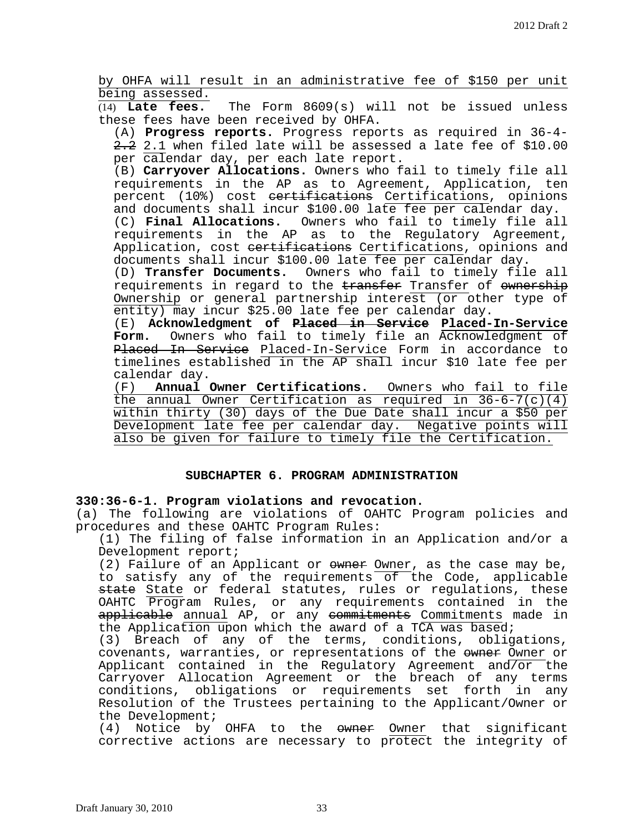by OHFA will result in an administrative fee of \$150 per unit  $\frac{\text{being assessed.}}{\text{(14)}}$  Late fees.

The Form 8609(s) will not be issued unless these fees have been received by OHFA.

(A) **Progress reports.** Progress reports as required in 36-4-  $2.2$  2.1 when filed late will be assessed a late fee of \$10.00 per calendar day, per each late report.

(B) Carryover Allocations. Owners who fail to timely file all requirements in the AP as to Agreement, Application, ten percent (10%) cost certifications Certifications, opinions and documents shall incur \$100.00 late fee per calendar day. (C) **Final Allocations.** Owners who fail to timely file all requirements in the AP as to the Regulatory Agreement, Application, cost eertifications Certifications, opinions and documents shall incur \$100.00 late fee per calendar day.

(D) **Transfer Documents.** Owners who fail to timely file all requirements in regard to the transfer Transfer of ownership Ownership or general partnership interest (or other type of entity) may incur \$25.00 late fee per calendar day.

(E) **Acknowledgment of Placed in Service Placed-In-Service Form.** Owners who fail to timely file an Acknowledgment of Placed In Service Placed-In-Service Form in accordance to timelines established in the AP shall incur \$10 late fee per calendar day.

(F) **Annual Owner Certifications.** Owners who fail to file the annual Owner Certification as required in 36-6-7(c)(4) within thirty (30) days of the Due Date shall incur a \$50 per Development late fee per calendar day. Negative points will also be given for failure to timely file the Certification.

## **SUBCHAPTER 6. PROGRAM ADMINISTRATION**

## **330:36-6-1. Program violations and revocation.**

(a) The following are violations of OAHTC Program policies and procedures and these OAHTC Program Rules:

(1) The filing of false information in an Application and/or a Development report;

(2) Failure of an Applicant or owner Owner, as the case may be, to satisfy any of the requirements of the Code, applicable state State or federal statutes, rules or regulations, these OAHTC Program Rules, or any requirements contained in the applicable annual AP, or any commitments Commitments made in the Application upon which the award of a TCA was based;

(3) Breach of any of the terms, conditions, obligations, covenants, warranties, or representations of the owner Owner or Applicant contained in the Regulatory Agreement and/or the Carryover Allocation Agreement or the breach of any terms conditions, obligations or requirements set forth in any Resolution of the Trustees pertaining to the Applicant/Owner or the Development;

(4) Notice by OHFA to the owner Owner that significant corrective actions are necessary to protect the integrity of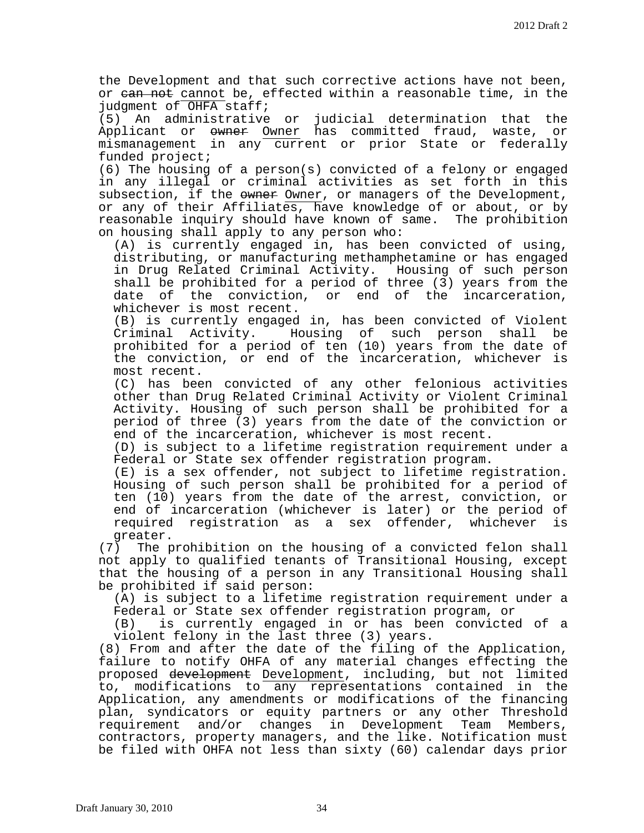the Development and that such corrective actions have not been, or ean not cannot be, effected within a reasonable time, in the judgment of OHFA staff;

(5) An administrative or judicial determination that the<br>Applicant or <del>owner</del> Owner has committed fraud, waste, or Applicant or  $\omega$  owner has committed fraud, waste, mismanagement in any current or prior State or federally funded project;

(6) The housing of a person(s) convicted of a felony or engaged in any illegal or criminal activities as set forth in this subsection, if the  $\frac{1}{2}$  owner, or managers of the Development, or any of their Affiliates, have knowledge of or about, or by<br>reasonable inquiry should have known of same. The prohibition reasonable inquiry should have known of same. on housing shall apply to any person who:

(A) is currently engaged in, has been convicted of using, distributing, or manufacturing methamphetamine or has engaged in Drug Related Criminal Activity. Housing of such person shall be prohibited for a period of three  $(3)$  years from the date of the conviction, or end of the incarceration, whichever is most recent.

(B) is currently engaged in, has been convicted of Violent Criminal Activity. Housing of such person shall be prohibited for a period of ten (10) years from the date of the conviction, or end of the incarceration, whichever is most recent.

(C) has been convicted of any other felonious activities other than Drug Related Criminal Activity or Violent Criminal Activity. Housing of such person shall be prohibited for a period of three (3) years from the date of the conviction or end of the incarceration, whichever is most recent.

(D) is subject to a lifetime registration requirement under a Federal or State sex offender registration program.

(E) is a sex offender, not subject to lifetime registration. Housing of such person shall be prohibited for a period of ten (10) years from the date of the arrest, conviction, or end of incarceration (whichever is later) or the period of<br>required registration as a sex offender, whichever is required registration as a sex offender, whichever

greater.<br>The p (7) The prohibition on the housing of a convicted felon shall not apply to qualified tenants of Transitional Housing, except that the housing of a person in any Transitional Housing shall be prohibited if said person:

(A) is subject to a lifetime registration requirement under a Federal or State sex offender registration program, or<br>(B) is currently engaged in or has been convicted

is currently engaged in or has been convicted of a violent felony in the last three (3) years.

(8) From and after the date of the filing of the Application, failure to notify OHFA of any material changes effecting the proposed development Development, including, but not limited to, modifications to any representations contained in the Application, any amendments or modifications of the financing plan, syndicators or equity partners or any other Threshold requirement and/or changes in Development Team Members, contractors, property managers, and the like. Notification must be filed with OHFA not less than sixty (60) calendar days prior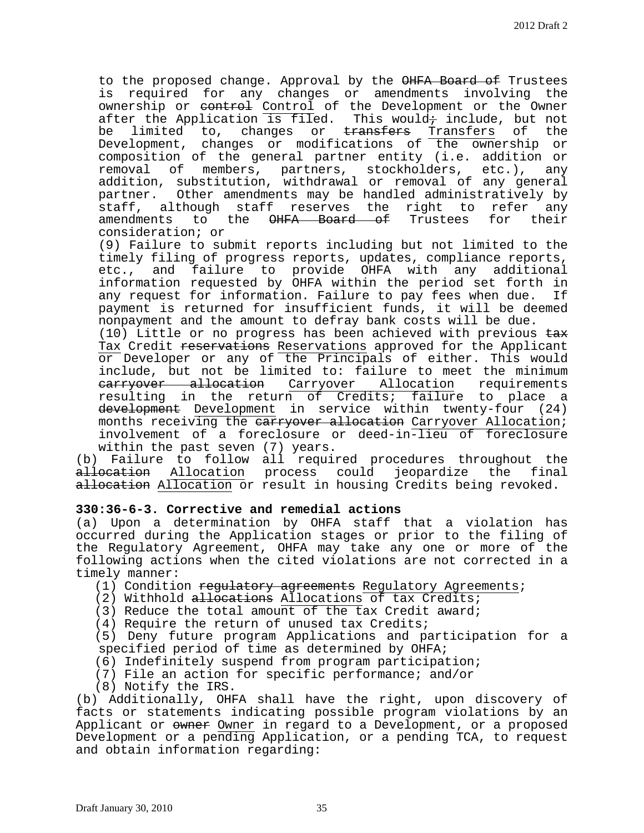to the proposed change. Approval by the OHFA Board of Trustees is required for any changes or amendments involving the ownership or control of the Development or the Owner after the Application is filed. This would+ include, but not be limited to, changes or <del>transfers</del> Transfers of the Development, changes or modifications of the ownership or composition of the general partner entity (i.e. addition or removal of members, partners, stockholders, etc.), any addition, substitution, withdrawal or removal of any general partner. Other amendments may be handled administratively by staff, although staff reserves the right to refer any<br>amendments to the <del>OHFA Board of</del> Trustees for their amendments to the OHFA Board of Trustees consideration; or

(9) Failure to submit reports including but not limited to the timely filing of progress reports, updates, compliance reports, etc., and failure to provide OHFA with any additional information requested by OHFA within the period set forth in<br>any request for information. Failure to pay fees when due. If any request for information. Failure to pay fees when due. payment is returned for insufficient funds, it will be deemed nonpayment and the amount to defray bank costs will be due.

 $(10)$  Little or no progress has been achieved with previous  $\pm a\cdot x$ Tax Credit reservations Reservations approved for the Applicant or Developer or any of the Principals of either. This would include, but not be limited to: failure to meet the minimum carryover allocation Carryover Allocation requirements resulting in the return of Credits; failure to place a development Development in service within twenty-four (24) months receiving the earryover allocation Carryover Allocation; involvement of a foreclosure or deed-in-lieu of foreclosure within the past seven (7) years.

(b) Failure to follow all required procedures throughout the allocation Allocation process could jeopardize the final allocation Allocation or result in housing Credits being revoked.

## **330:36-6-3. Corrective and remedial actions**

(a) Upon a determination by OHFA staff that a violation has occurred during the Application stages or prior to the filing of the Regulatory Agreement, OHFA may take any one or more of the following actions when the cited violations are not corrected in a timely manner:

- (1) Condition regulatory agreements Regulatory Agreements;
- (2) Withhold allocations Allocations of tax Credits;
- (3) Reduce the total amount of the tax Credit award;
- (4) Require the return of unused tax Credits;

(5) Deny future program Applications and participation for a specified period of time as determined by OHFA;

- (6) Indefinitely suspend from program participation;
- (7) File an action for specific performance; and/or
- (8) Notify the IRS.

(b) Additionally, OHFA shall have the right, upon discovery of facts or statements indicating possible program violations by an Applicant or owner Owner in regard to a Development, or a proposed Development or a pending Application, or a pending TCA, to request and obtain information regarding: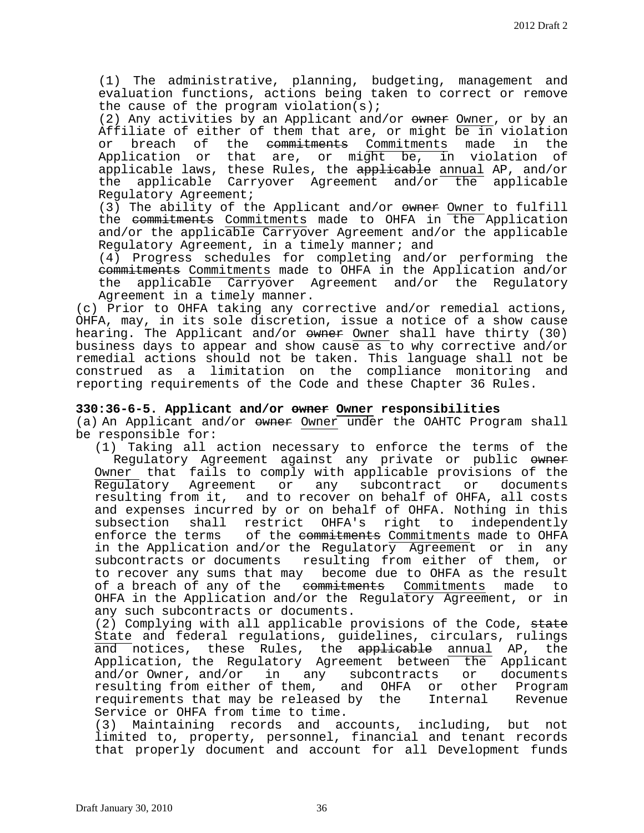(1) The administrative, planning, budgeting, management and evaluation functions, actions being taken to correct or remove the cause of the program violation(s);

(2) Any activities by an Applicant and/or  $\omega$  owner, or by an Affiliate of either of them that are, or might  $\overline{be}$  in violation<br>or breach of the <del>commitments</del> Commitments made in the breach of the <del>commitments</del> Commitments made in the Application or that are, or might be, in violation of applicable laws, these Rules, the applicable annual AP, and/or the applicable Carryover Agreement and/or the applicable Regulatory Agreement;

(3) The ability of the Applicant and/or owner Owner to fulfill the commitments Commitments made to OHFA in the Application and/or the applicable Carryover Agreement and/or the applicable Regulatory Agreement, in a timely manner; and

(4) Progress schedules for completing and/or performing the commitments Commitments made to OHFA in the Application and/or the applicable Carryover Agreement and/or the Regulatory Agreement in a timely manner.

(c) Prior to OHFA taking any corrective and/or remedial actions, OHFA, may, in its sole discretion, issue a notice of a show cause hearing. The Applicant and/or  $\omega$ wner Shall have thirty (30) business days to appear and show cause as to why corrective and/or remedial actions should not be taken. This language shall not be construed as a limitation on the compliance monitoring and reporting requirements of the Code and these Chapter 36 Rules.

## **330:36-6-5. Applicant and/or owner Owner responsibilities**

(a) An Applicant and/or owner Owner under the OAHTC Program shall be responsible for:

(1) Taking all action necessary to enforce the terms of the Regulatory Agreement against any private or public owner Owner that fails to comply with applicable provisions of the<br>Regulatory Agreement or any subcontract or documents Regulatory Agreement or resulting from it, and to recover on behalf of OHFA, all costs and expenses incurred by or on behalf of OHFA. Nothing in this<br>subsection shall restrict OHFA's right to independently shall restrict OHFA's right enforce the terms of the <del>commitments</del> Commitments made to OHFA in the Application and/or the Regulatory Agreement or in any subcontracts or documents resulting from either of them, or to recover any sums that may become due to OHFA as the result<br>of a breach of any of the e<del>ommitments</del> Commitments made to of a breach of any of the est enterprests Commitments OHFA in the Application and/or the Regulatory Agreement, or in any such subcontracts or documents.

(2) Complying with all applicable provisions of the Code, state State and federal regulations, guidelines, circulars, rulings and notices, these Rules, the <del>applicable</del> <u>annual</u> AP, the Application, the Regulatory Agreement between the Applicant and/or Owner, and/or in any subcontracts or documents<br>resulting from either of them, and OHFA or other Program resulting from either of them, and OHFA or other Program<br>requirements that may be released by the Internal Revenue requirements that may be released by the Service or OHFA from time to time.

(3) Maintaining records and accounts, including, but not limited to, property, personnel, financial and tenant records that properly document and account for all Development funds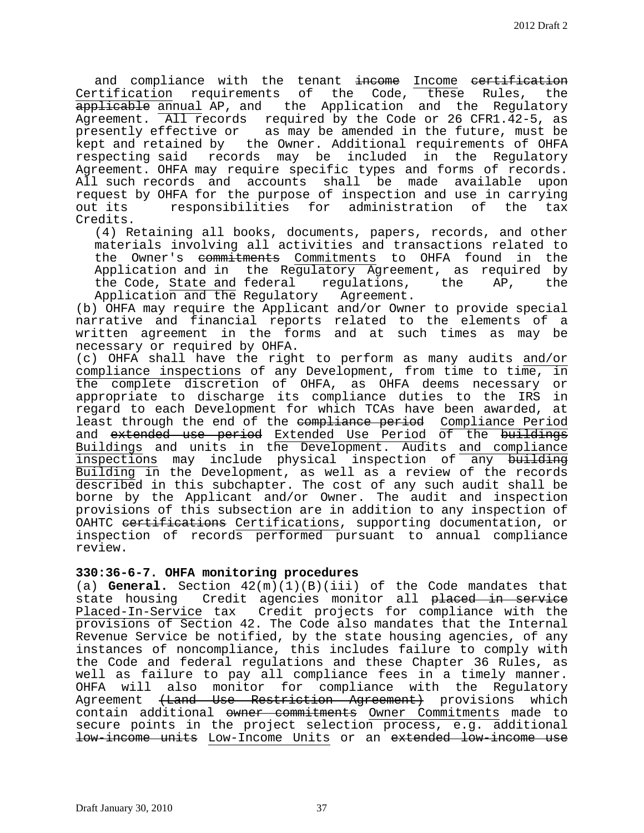and compliance with the tenant income Income certification Certification requirements of the Code, these Rules, the applicable annual AP, and the Application and the Regulatory Agreement. All records required by the Code or 26 CFR1.42-5, as presently effective or as may be amended in the future, must be kept and retained by the Owner. Additional requirements of OHFA respecting said records may be included in the Regulatory Agreement. OHFA may require specific types and forms of records. All such records and accounts shall be made available upon request by OHFA for the purpose of inspection and use in carrying<br>out its eresponsibilities for administration of the tax responsibilities for administration of Credits.

(4) Retaining all books, documents, papers, records, and other materials involving all activities and transactions related to the Owner's <del>commitments</del> Commitments to OHFA found in the Application and in the Regulatory Agreement, as required by the Code, State and federal regulations, the AP, the the Code, State and federal Application and the Regulatory Agreement.

(b) OHFA may require the Applicant and/or Owner to provide special narrative and financial reports related to the elements of a written agreement in the forms and at such times as may be necessary or required by OHFA.

(c) OHFA shall have the right to perform as many audits and/or compliance inspections of any Development, from time to time, in the complete discretion of OHFA, as OHFA deems necessary or appropriate to discharge its compliance duties to the IRS in regard to each Development for which TCAs have been awarded, at least through the end of the compliance period Compliance Period and extended use period Extended Use Period of the buildings Buildings and units in the Development. Audits <u>and compliance</u> inspections may include physical inspection of any building Building in the Development, as well as a review of the records described in this subchapter. The cost of any such audit shall be borne by the Applicant and/or Owner. The audit and inspection provisions of this subsection are in addition to any inspection of OAHTC certifications Certifications, supporting documentation, or inspection of records performed pursuant to annual compliance review.

## **330:36-6-7. OHFA monitoring procedures**

(a) **General.** Section 42(m)(1)(B)(iii) of the Code mandates that state housing Credit agencies monitor all placed in service Placed-In-Service tax Credit projects for compliance with the provisions of Section 42. The Code also mandates that the Internal Revenue Service be notified, by the state housing agencies, of any instances of noncompliance, this includes failure to comply with the Code and federal regulations and these Chapter 36 Rules, as well as failure to pay all compliance fees in a timely manner. OHFA will also monitor for compliance with the Regulatory Agreement (Land Use Restriction Agreement) provisions which contain additional owner commitments Owner Commitments made to secure points in the project selection process, e.g. additional low-income units Low-Income Units or an extended low-income use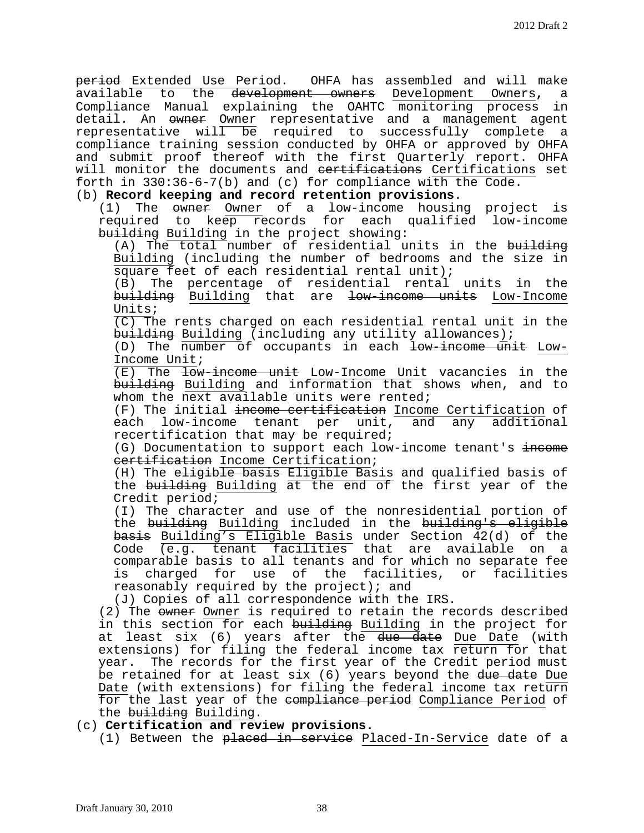period Extended Use Period. OHFA has assembled and will make available to the development owners Development Owners**,** a Compliance Manual explaining the OAHTC monitoring process in detail. An <del>owner</del> Owner representative and a management agent representative will be required to successfully complete a compliance training session conducted by OHFA or approved by OHFA and submit proof thereof with the first Quarterly report. OHFA will monitor the documents and eertifications Certifications set forth in 330:36-6-7(b) and (c) for compliance with the Code.

# (b) **Record keeping and record retention provisions**.<br>(1) The  $\overline{\text{owner}}$  Owner of a low-income housin

The owner Owner of a low-income housing project is required to keep records for each qualified low-income building Building in the project showing:

 $(A)$  The total number of residential units in the building Building (including the number of bedrooms and the size in square feet of each residential rental unit);

(B) The percentage of residential rental units in the building Building that are low-income units Low-Income Units;

(C) The rents charged on each residential rental unit in the building Building (including any utility allowances);

(D) The number of occupants in each low-income unit Low-Income Unit;

(E) The low-income unit Low-Income Unit vacancies in the building Building and information that shows when, and to whom the next available units were rented;

(F) The initial <del>income certification</del> Income Certification of<br>each low-income tenant per unit, and any additional low-income tenant per unit, recertification that may be required;

(G) Documentation to support each low-income tenant's income certification Income Certification;

(H) The eligible basis Eligible Basis and qualified basis of the building Building at the end of the first year of the Credit period;

(I) The character and use of the nonresidential portion of the <del>building</del> Building included in the <del>building's eligible</del> basis Building's Eligible Basis under Section 42(d) of the Code (e.g. tenant facilities that are available on a comparable basis to all tenants and for which no separate fee is charged for use of the facilities, or facilities reasonably required by the project); and

(J) Copies of all correspondence with the IRS.

(2) The owner Owner is required to retain the records described in this section for each building Building in the project for at least six (6) years after the <del>due date</del> Due Date (with extensions) for filing the federal income tax return for that year. The records for the first year of the Credit period must be retained for at least six (6) years beyond the due date Due Date (with extensions) for filing the federal income tax return for the last year of the compliance period Compliance Period of the <del>building</del> Building.

## (c) **Certification and review provisions.**

(1) Between the <del>placed in service</del> Placed-In-Service date of a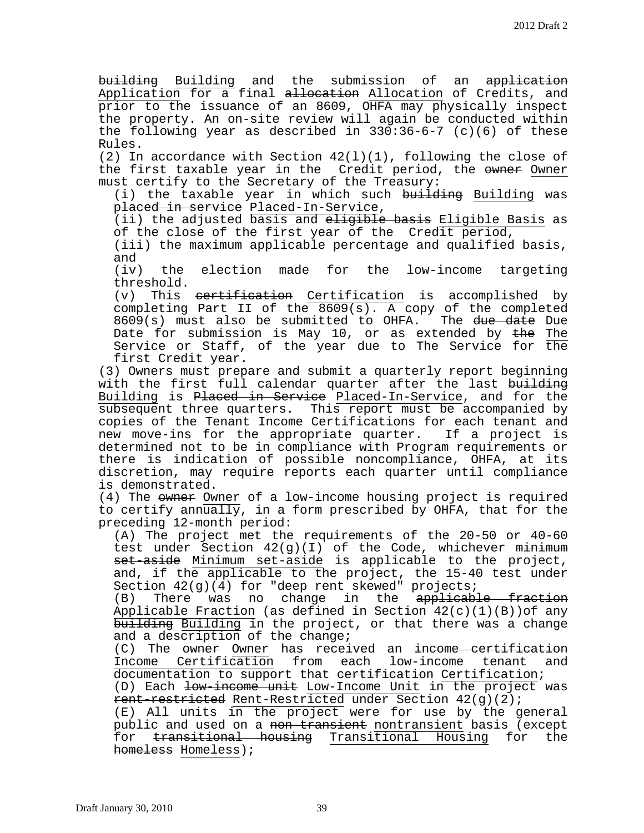building Building and the submission of an application Application for a final allocation Allocation of Credits, and prior to the issuance of an 8609, OHFA may physically inspect the property. An on-site review will again be conducted within the following year as described in 330:36-6-7 (c)(6) of these Rules.

(2) In accordance with Section  $42(1)(1)$ , following the close of the first taxable year in the Credit period, the  $\epsilon$  Owner must certify to the Secretary of the Treasury:

(i) the taxable year in which such building Building was placed in service Placed-In-Service,

(ii) the adjusted basis and eligible basis Eligible Basis as of the close of the first year of the Credit period,

(iii) the maximum applicable percentage and qualified basis, and

(iv) the election made for the low-income targeting

threshold.<br>(v) This This certification Certification is accomplished by completing Part II of the 8609(s). A copy of the completed 8609(s) must also be submitted to OHFA. The due date Due Date for submission is May 10, or as extended by  $the$  The Service or Staff, of the year due to The Service for the first Credit year.

(3) Owners must prepare and submit a quarterly report beginning with the first full calendar quarter after the last building Building is <del>Placed in Service</del> Placed-In-Service, and for the subsequent three quarters. This report must be accompanied by copies of the Tenant Income Certifications for each tenant and<br>new move-ins for the appropriate quarter. If a project is new move-ins for the appropriate quarter. determined not to be in compliance with Program requirements or there is indication of possible noncompliance, OHFA, at its discretion, may require reports each quarter until compliance is demonstrated.

(4) The owner Owner of a low-income housing project is required to certify annually, in a form prescribed by OHFA, that for the preceding 12-month period:

(A) The project met the requirements of the 20-50 or 40-60 test under Section 42(g)(I) of the Code, whichever minimum set-aside Minimum set-aside is applicable to the project, and, if the applicable to the project, the 15-40 test under

Section 42(g)(4) for "deep rent skewed" projects;<br>(B) There was no change in the applicable fraction Applicable Fraction (as defined in Section  $42(c)(1)(B)$ )of any building Building in the project, or that there was a change and a description of the change;

(C) The owner Owner has received an <del>income certification</del><br>Income Certification from each low-income tenant and  $Certification from each low-income tenant$ documentation to support that <del>certification</del> Certification;

(D) Each low-income unit Low-Income Unit in the project was rent-restricted Rent-Restricted under Section 42(g)(2);

(E) All units in the project were for use by the general public and used on a <del>non-transient</del> nontransient basis (except<br>for <del>transitional housing</del> Transitional Housing for the for <del>transitional housing</del> Transitional Housing for homeless Homeless);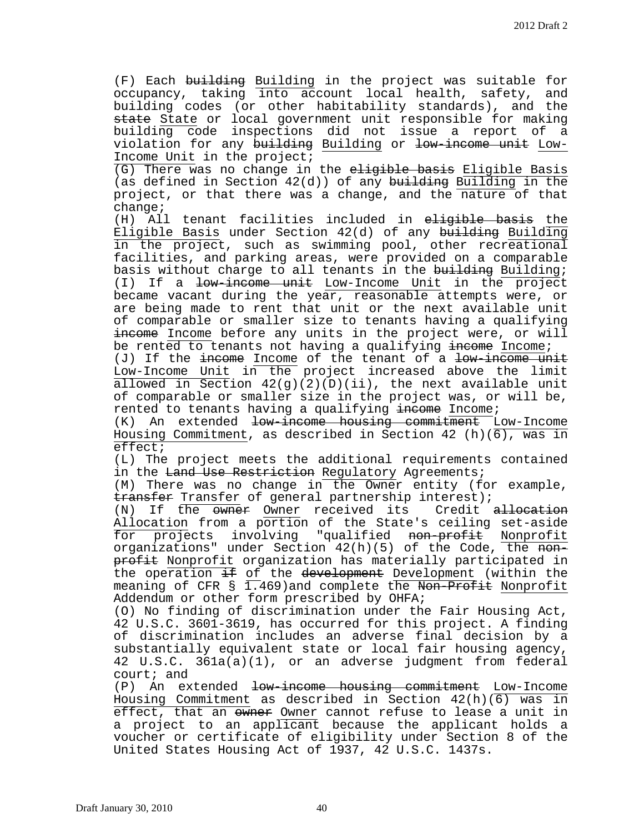(F) Each building Building in the project was suitable for occupancy, taking into account local health, safety, and building codes (or other habitability standards), and the state State or local government unit responsible for making building code inspections did not issue a report of a violation for any building Building or low-income unit Low-Income Unit in the project;

(G) There was no change in the eligible basis Eligible Basis (as defined in Section  $42(d)$ ) of any building Building in the project, or that there was a change, and the nature of that change;

(H) All tenant facilities included in eligible basis the Eligible Basis under Section 42(d) of any building Building in the project, such as swimming pool, other recreational facilities, and parking areas, were provided on a comparable basis without charge to all tenants in the building; (I) If a low-income unit Low-Income Unit in the project became vacant during the year, reasonable attempts were, or are being made to rent that unit or the next available unit of comparable or smaller size to tenants having a qualifying income Income before any units in the project were, or will be rented to tenants not having a qualifying  $\frac{1}{2}$  income;

(J) If the income Income of the tenant of a low-income unit Low-Income Unit in the project increased above the limit allowed in Section  $42(g)(2)(D)(ii)$ , the next available unit of comparable or smaller size in the project was, or will be, rented to tenants having a qualifying income Income;

(K) An extended <del>low-income housing commitment</del> Low-Income Housing Commitment, as described in Section 42 (h)(6), was in effect;

(L) The project meets the additional requirements contained in the <del>Land Use Restriction</del> Regulatory Agreements;

(M) There was no change in the Owner entity (for example, transfer Transfer of general partnership interest);

(N) If the owner Owner received its Credit allocation Allocation from a portion of the State's ceiling set-aside<br>for projects involving "qualified <del>non-profit</del> Nonprofit involving "qualified <del>non-profit</del> Nonprofit organizations" under Section  $42(h)(5)$  of the Code, the  $H$ profit Nonprofit organization has materially participated in the operation  $\pm$  f of the development Development (within the meaning of CFR  $\S$  1.469) and complete the Non-Profit Nonprofit Addendum or other form prescribed by OHFA;

(O) No finding of discrimination under the Fair Housing Act, 42 U.S.C. 3601-3619, has occurred for this project. A finding of discrimination includes an adverse final decision by a substantially equivalent state or local fair housing agency, 42 U.S.C. 361a(a)(1), or an adverse judgment from federal court; and<br>(P) An ex

An extended <del>low-income housing commitment</del> Low-Income Housing Commitment as described in Section 42(h)(6) was in effect, that an owner Owner cannot refuse to lease a unit in a project to an applicant because the applicant holds a voucher or certificate of eligibility under Section 8 of the United States Housing Act of 1937, 42 U.S.C. 1437s.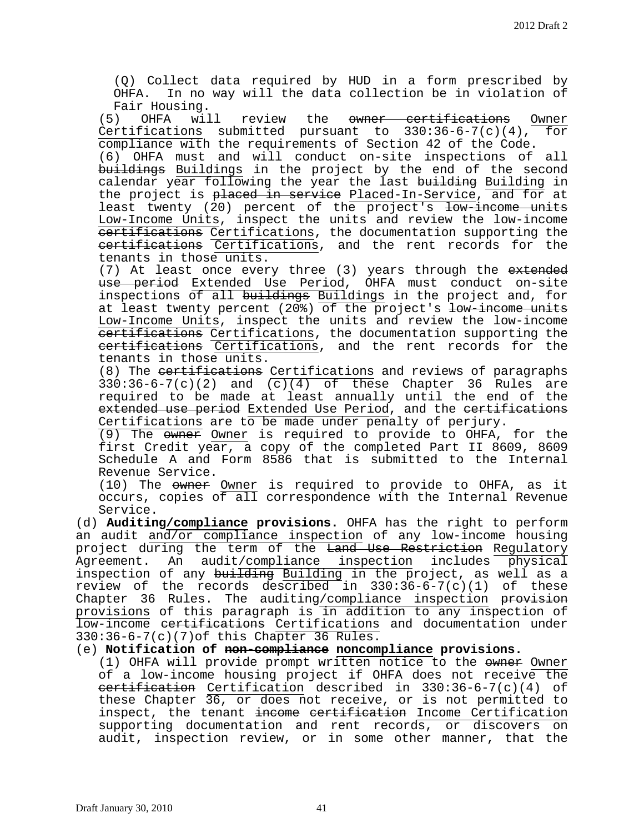(Q) Collect data required by HUD in a form prescribed by OHFA. In no way will the data collection be in violation of Fair Housing.<br>(5) OHFA will

review the <del>owner certifications</del> Owner<br>mitted pursuant to 330:36-6-7(c)(4), for Certifications submitted pursuant to  $330:36-6-7(c)(4)$ , compliance with the requirements of Section 42 of the Code.

(6) OHFA must and will conduct on-site inspections of all buildings Buildings in the project by the end of the second calendar year following the year the last building Building in the project is placed in service Placed-In-Service, and for at least twenty (20) percent of the project's low-income units Low-Income Units, inspect the units and review the low-income certifications Certifications, the documentation supporting the certifications Certifications, and the rent records for the tenants in those units.

(7) At least once every three (3) years through the extended use period Extended Use Period, OHFA must conduct on-site inspections of all buildings Buildings in the project and, for at least twenty percent (20%) of the project's low-income units Low-Income Units, inspect the units and review the low-income certifications Certifications, the documentation supporting the certifications Certifications, and the rent records for the tenants in those units.

(8) The certifications Certifications and reviews of paragraphs  $330:36-6-7(c)(2)$  and  $(c)(4)$  of these Chapter 36 Rules are required to be made at least annually until the end of the extended use period Extended Use Period, and the certifications Certifications are to be made under penalty of perjury.

(9) The owner Owner is required to provide to OHFA, for the first Credit year, a copy of the completed Part II 8609, 8609 Schedule A and Form 8586 that is submitted to the Internal Revenue Service.

(10) The owner Owner is required to provide to OHFA, as it occurs, copies of all correspondence with the Internal Revenue Service.

(d) **Auditing/compliance provisions.** OHFA has the right to perform an audit and/or compliance inspection of any low-income housing project during the term of the Land Use Restriction Regulatory Agreement. An audit/compliance inspection includes physical inspection of any building Building in the project, as well as a review of the records described in  $330:36-6-7(c)(1)$  of these Chapter 36 Rules. The auditing/compliance inspection provision provisions of this paragraph is in addition to any inspection of low-income certifications Certifications and documentation under 330:36-6-7(c)(7)of this Chapter 36 Rules.

(e) **Notification of non-compliance noncompliance provisions.**

(1) OHFA will provide prompt written notice to the owner of a low-income housing project if OHFA does not receive the certification Certification described in 330:36-6-7(c)(4) of these Chapter 36, or does not receive, or is not permitted to inspect, the tenant income certification Income Certification supporting documentation and rent records, or discovers on audit, inspection review, or in some other manner, that the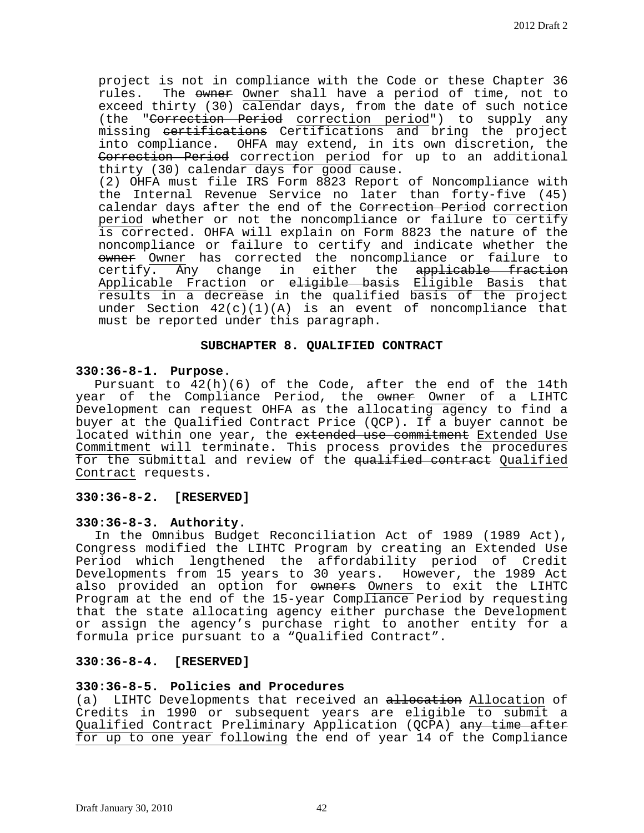project is not in compliance with the Code or these Chapter 36 rules. The owner Owner shall have a period of time, not to exceed thirty (30) calendar days, from the date of such notice (the "Correction Period correction period") to supply any missing <del>certifications</del> Certifications and bring the project into compliance. OHFA may extend, in its own discretion, the Correction Period correction period for up to an additional thirty (30) calendar days for good cause. (2) OHFA must file IRS Form 8823 Report of Noncompliance with the Internal Revenue Service no later than forty-five (45) calendar days after the end of the Correction Period correction period whether or not the noncompliance or failure to certify is corrected. OHFA will explain on Form 8823 the nature of the noncompliance or failure to certify and indicate whether the owner Owner has corrected the noncompliance or failure to  $certify.$  Any change in either the applicable fraction Applicable Fraction or eligible basis Eligible Basis that results in a decrease in the qualified basis of the project under Section  $42(c)(1)(A)$  is an event of noncompliance that must be reported under this paragraph.

#### **SUBCHAPTER 8. QUALIFIED CONTRACT**

#### **330:36-8-1. Purpose**.

Pursuant to  $42(h)(6)$  of the Code, after the end of the 14th year of the Compliance Period, the <del>owner</del> Owner of a LIHTC Development can request OHFA as the allocating agency to find a buyer at the Qualified Contract Price (QCP). If a buyer cannot be located within one year, the extended use commitment Extended Use Commitment will terminate. This process provides the procedures for the submittal and review of the qualified contract Qualified Contract requests.

# **330:36-8-2. [RESERVED]**

#### **330:36-8-3. Authority.**

In the Omnibus Budget Reconciliation Act of 1989 (1989 Act), Congress modified the LIHTC Program by creating an Extended Use Period which lengthened the affordability period of Credit Developments from 15 years to 30 years. However, the 1989 Act also provided an option for owners Owners to exit the LIHTC Program at the end of the 15-year Compliance Period by requesting that the state allocating agency either purchase the Development or assign the agency's purchase right to another entity for a formula price pursuant to a "Qualified Contract".

## **330:36-8-4. [RESERVED]**

#### **330:36-8-5. Policies and Procedures**

(a) LIHTC Developments that received an allocation Allocation of Credits in 1990 or subsequent years are eligible to submit a Qualified Contract Preliminary Application (QCPA) any time after for up to one year following the end of year 14 of the Compliance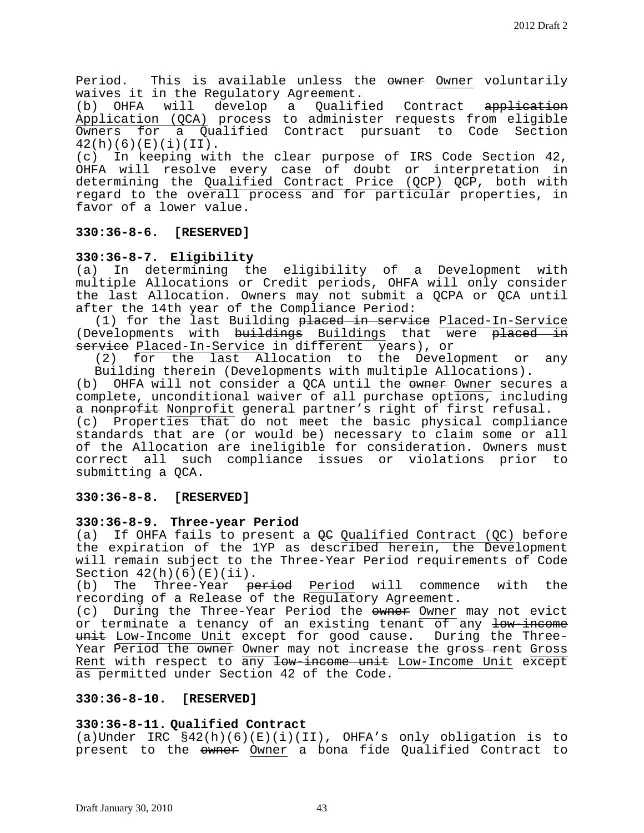Period. This is available unless the owner Owner voluntarily waives it in the Regulatory Agreement.<br>(b) OHFA will develop a Qualif

Qualified Contract application Application (QCA) process to administer requests from eligible<br>Owners for a Qualified Contract pursuant to Code Section Owners for a Qualified Contract pursuant  $42(h)(6)(E)(i)(II).$ <br>(c) In keeping wit

In keeping with the clear purpose of IRS Code Section 42, OHFA will resolve every case of doubt or interpretation in determining the <u>Qualified Contract Price (QCP)</u> <del>QCP</del>, both with regard to the overall process and for particular properties, in favor of a lower value.

# **330:36-8-6. [RESERVED]**

# **330:36-8-7. Eligibility**

(a) In determining the eligibility of a Development with multiple Allocations or Credit periods, OHFA will only consider the last Allocation. Owners may not submit a QCPA or QCA until after the 14th year of the Compliance Period:

(1) for the last Building <del>placed in service</del> Placed-In-Service<br>evelopments with <del>buildings</del> Buildings that were <del>placed in</del> (Developments with buildings Buildings that were placed service Placed-In-Service in different years), or

(2) for the last Allocation to the Development or any Building therein (Developments with multiple Allocations).<br>(b) OHFA will not consider a OCA until the ewner Owner secul

OHFA will not consider a QCA until the <del>owner</del> Owner secures a complete, unconditional waiver of all purchase options, including a nonprofit Nonprofit general partner's right of first refusal.

(c) Properties that do not meet the basic physical compliance standards that are (or would be) necessary to claim some or all of the Allocation are ineligible for consideration. Owners must correct all such compliance issues or violations prior to submitting a QCA.

## **330:36-8-8. [RESERVED]**

## **330:36-8-9. Three-year Period**

(a) If OHFA fails to present a  $QC$  Qualified Contract (QC) before the expiration of the 1YP as described herein, the Development will remain subject to the Three-Year Period requirements of Code Section  $42(h)(6)(E)(ii)$ .<br>(b) The Three-Year <del>p</del>e

The Three-Year <del>period</del> Period will commence with the recording of a Release of the Regulatory Agreement.

(c) During the Three-Year Period the owner Owner may not evict or terminate a tenancy of an existing tenant of any low-income unit Low-Income Unit except for good cause. During the Three-Year Period the owner Owner may not increase the gross rent Gross Rent with respect to any low-income unit Low-Income Unit except as permitted under Section 42 of the Code.

## **330:36-8-10. [RESERVED]**

## **330:36-8-11. Qualified Contract**

(a)Under IRC §42(h)(6)(E)(i)(II), OHFA's only obligation is to present to the owner Owner a bona fide Qualified Contract to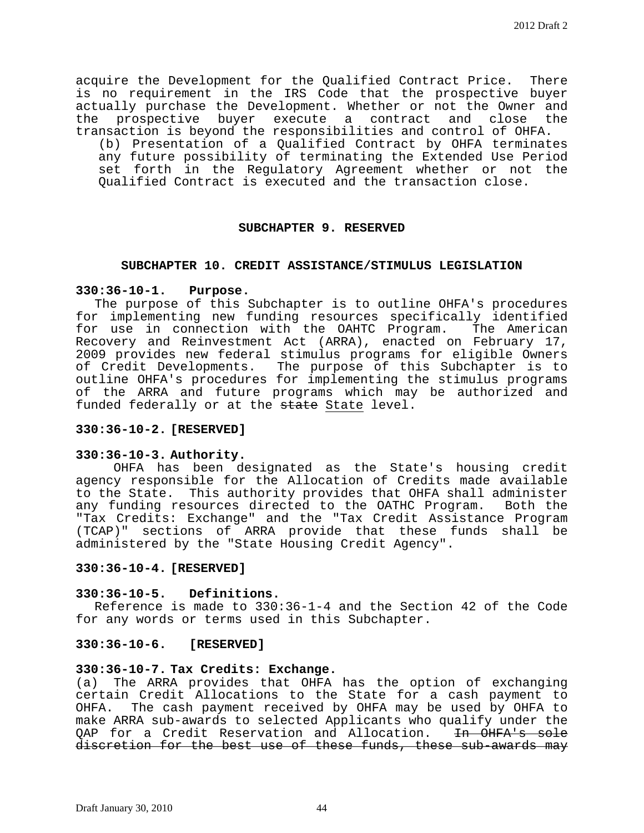acquire the Development for the Qualified Contract Price. There is no requirement in the IRS Code that the prospective buyer actually purchase the Development. Whether or not the Owner and the prospective buyer execute a contract and close the transaction is beyond the responsibilities and control of OHFA.

(b) Presentation of a Qualified Contract by OHFA terminates any future possibility of terminating the Extended Use Period set forth in the Regulatory Agreement whether or not the Qualified Contract is executed and the transaction close.

#### **SUBCHAPTER 9. RESERVED**

#### **SUBCHAPTER 10. CREDIT ASSISTANCE/STIMULUS LEGISLATION**

#### **330:36-10-1. Purpose.**

The purpose of this Subchapter is to outline OHFA's procedures for implementing new funding resources specifically identified for use in connection with the OAHTC Program. The American Recovery and Reinvestment Act (ARRA), enacted on February 17, 2009 provides new federal stimulus programs for eligible Owners of Credit Developments. The purpose of this Subchapter is to outline OHFA's procedures for implementing the stimulus programs of the ARRA and future programs which may be authorized and funded federally or at the state State level.

## **330:36-10-2. [RESERVED]**

## **330:36-10-3. Authority.**

OHFA has been designated as the State's housing credit agency responsible for the Allocation of Credits made available to the State. This authority provides that OHFA shall administer<br>any funding resources directed to the OATHC Program. Both the any funding resources directed to the OATHC Program. "Tax Credits: Exchange" and the "Tax Credit Assistance Program (TCAP)" sections of ARRA provide that these funds shall be administered by the "State Housing Credit Agency".

#### **330:36-10-4. [RESERVED]**

#### **330:36-10-5. Definitions.**

Reference is made to 330:36-1-4 and the Section 42 of the Code for any words or terms used in this Subchapter.

## **330:36-10-6. [RESERVED]**

#### **330:36-10-7. Tax Credits: Exchange.**

(a) The ARRA provides that OHFA has the option of exchanging certain Credit Allocations to the State for a cash payment to<br>OHFA. The cash payment received by OHFA may be used by OHFA to The cash payment received by OHFA may be used by OHFA to make ARRA sub-awards to selected Applicants who qualify under the QAP for a Credit Reservation and Allocation. In OHFA's sole discretion for the best use of these funds, these sub-awards may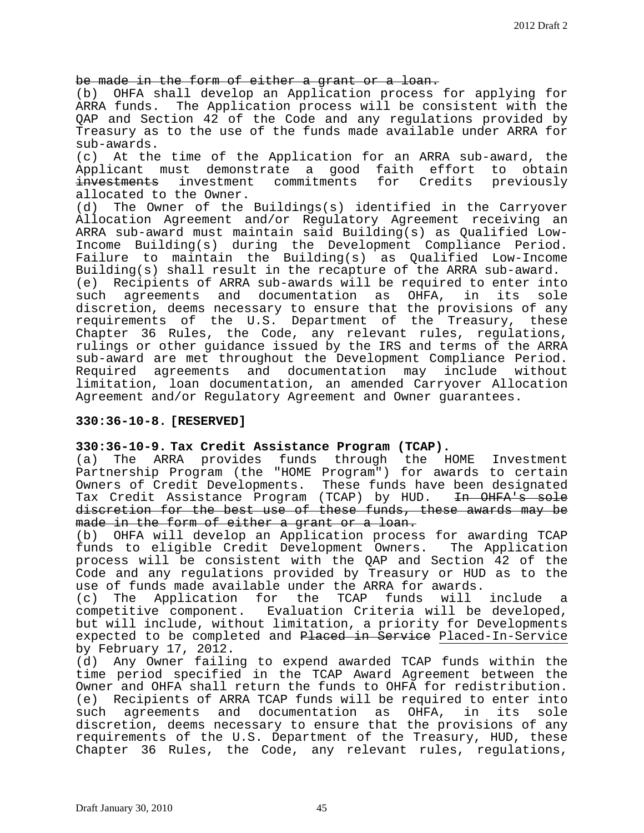be made in the form of either a grant or a loan.

(b) OHFA shall develop an Application process for applying for ARRA funds. The Application process will be consistent with the QAP and Section 42 of the Code and any regulations provided by Treasury as to the use of the funds made available under ARRA for

sub-awards.<br>(c) At the At the time of the Application for an ARRA sub-award, the Applicant must demonstrate a good faith effort to obtain<br>investments investment commitments for Credits previously for Credits previously allocated to the Owner.<br>(d) The Owner of the

The Owner of the Buildings(s) identified in the Carryover Allocation Agreement and/or Regulatory Agreement receiving an ARRA sub-award must maintain said Building(s) as Qualified Low-Income Building(s) during the Development Compliance Period. Failure to maintain the Building(s) as Qualified Low-Income

Building(s) shall result in the recapture of the ARRA sub-award.<br>(e) Recipients of ARRA sub-awards will be required to enter int (e) Recipients of ARRA sub-awards will be required to enter into<br>such agreements and documentation as OHFA, in its sole agreements and documentation as OHFA, in discretion, deems necessary to ensure that the provisions of any requirements of the U.S. Department of the Treasury, these Chapter 36 Rules, the Code, any relevant rules, regulations, rulings or other guidance issued by the IRS and terms of the ARRA sub-award are met throughout the Development Compliance Period. Required agreements and documentation may include without limitation, loan documentation, an amended Carryover Allocation Agreement and/or Regulatory Agreement and Owner guarantees.

## **330:36-10-8. [RESERVED]**

## **330:36-10-9. Tax Credit Assistance Program (TCAP).**

(a) The ARRA provides funds through the HOME Investment Partnership Program (the "HOME Program") for awards to certain Owners of Credit Developments. These funds have been designated<br>Tax Credit Assistance Program (TCAP) by HUD. <del>In OHFA's sole</del> Tax Credit Assistance Program (TCAP) by HUD. discretion for the best use of these funds, these awards may be made in the form of either a grant or a loan.

(b) OHFA will develop an Application process for awarding TCAP funds to eligible Credit Development Owners. The Application process will be consistent with the QAP and Section 42 of the Code and any regulations provided by Treasury or HUD as to the use of funds made available under the ARRA for awards.<br>(c) The Application for the TCAP funds will

(c) The Application for the TCAP funds will include a<br>competitive component. Evaluation Criteria will be developed, Evaluation Criteria will be developed, but will include, without limitation, a priority for Developments expected to be completed and Placed in Service Placed-In-Service by February 17, 2012.<br>(d) Any Owner failin

Any Owner failing to expend awarded TCAP funds within the time period specified in the TCAP Award Agreement between the Owner and OHFA shall return the funds to OHFA for redistribution.<br>(e) Recipients of ARRA TCAP funds will be required to enter into Recipients of ARRA TCAP funds will be required to enter into<br>1 agreements and documentation as OHFA, in its sole such agreements and documentation as OHFA, discretion, deems necessary to ensure that the provisions of any requirements of the U.S. Department of the Treasury, HUD, these Chapter 36 Rules, the Code, any relevant rules, regulations,